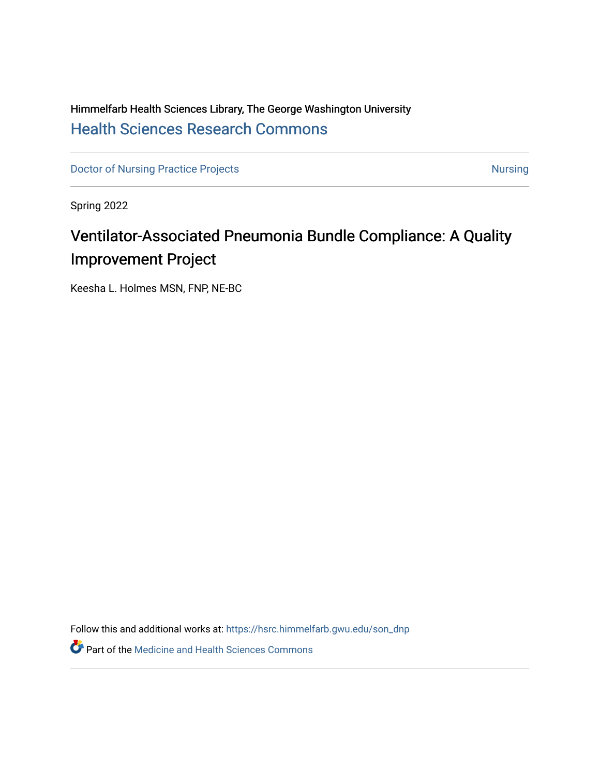# Himmelfarb Health Sciences Library, The George Washington University [Health Sciences Research Commons](https://hsrc.himmelfarb.gwu.edu/)

[Doctor of Nursing Practice Projects](https://hsrc.himmelfarb.gwu.edu/son_dnp) [Nursing](https://hsrc.himmelfarb.gwu.edu/son_nurs) Nursing Nursing

Spring 2022

# Ventilator-Associated Pneumonia Bundle Compliance: A Quality Improvement Project

Keesha L. Holmes MSN, FNP, NE-BC

Follow this and additional works at: [https://hsrc.himmelfarb.gwu.edu/son\\_dnp](https://hsrc.himmelfarb.gwu.edu/son_dnp?utm_source=hsrc.himmelfarb.gwu.edu%2Fson_dnp%2F1&utm_medium=PDF&utm_campaign=PDFCoverPages)

**Part of the Medicine and Health Sciences Commons**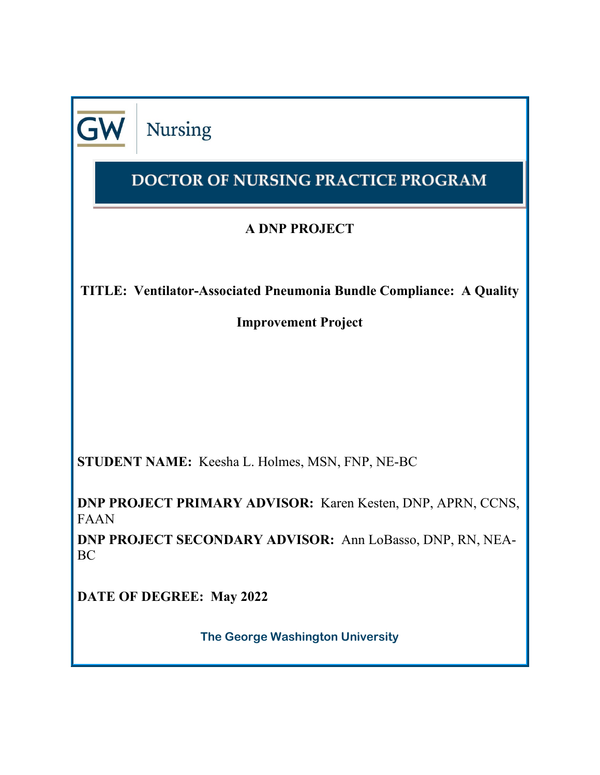**Nursing** 

# DOCTOR OF NURSING PRACTICE PROGRAM

# **A DNP PROJECT**

**TITLE: Ventilator-Associated Pneumonia Bundle Compliance: A Quality** 

**Improvement Project**

**STUDENT NAME:** Keesha L. Holmes, MSN, FNP, NE-BC

**DNP PROJECT PRIMARY ADVISOR:** Karen Kesten, DNP, APRN, CCNS, FAAN

**DNP PROJECT SECONDARY ADVISOR:** Ann LoBasso, DNP, RN, NEA-BC

**DATE OF DEGREE: May 2022**

**The George Washington University**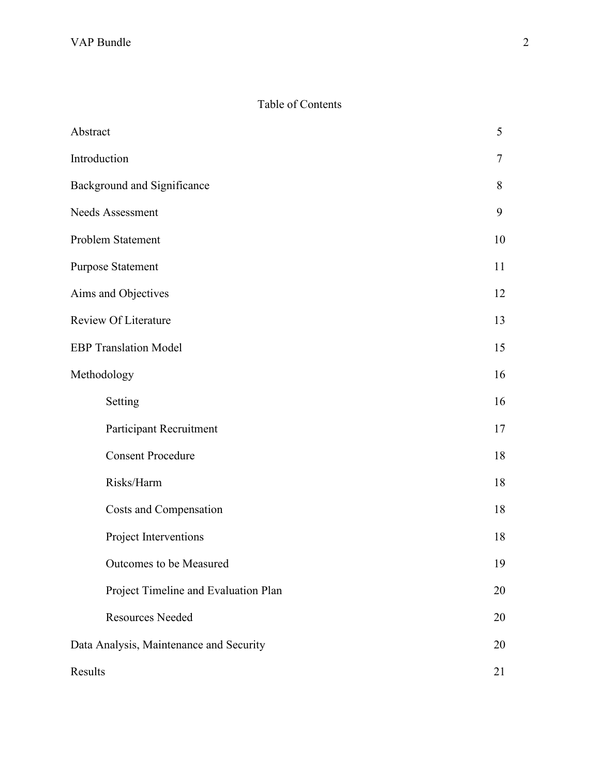# Table of Contents

| Abstract                                | 5      |  |
|-----------------------------------------|--------|--|
| Introduction                            | $\tau$ |  |
| Background and Significance             | 8      |  |
| Needs Assessment                        | 9      |  |
| Problem Statement                       | 10     |  |
| <b>Purpose Statement</b>                | 11     |  |
| Aims and Objectives                     | 12     |  |
| <b>Review Of Literature</b>             | 13     |  |
| <b>EBP Translation Model</b>            | 15     |  |
| Methodology                             | 16     |  |
| Setting                                 | 16     |  |
| Participant Recruitment                 | 17     |  |
| <b>Consent Procedure</b>                | 18     |  |
| Risks/Harm                              | 18     |  |
| Costs and Compensation                  | 18     |  |
| Project Interventions                   | 18     |  |
| Outcomes to be Measured                 | 19     |  |
| Project Timeline and Evaluation Plan    | 20     |  |
| <b>Resources Needed</b>                 | 20     |  |
| Data Analysis, Maintenance and Security | 20     |  |
| Results<br>21                           |        |  |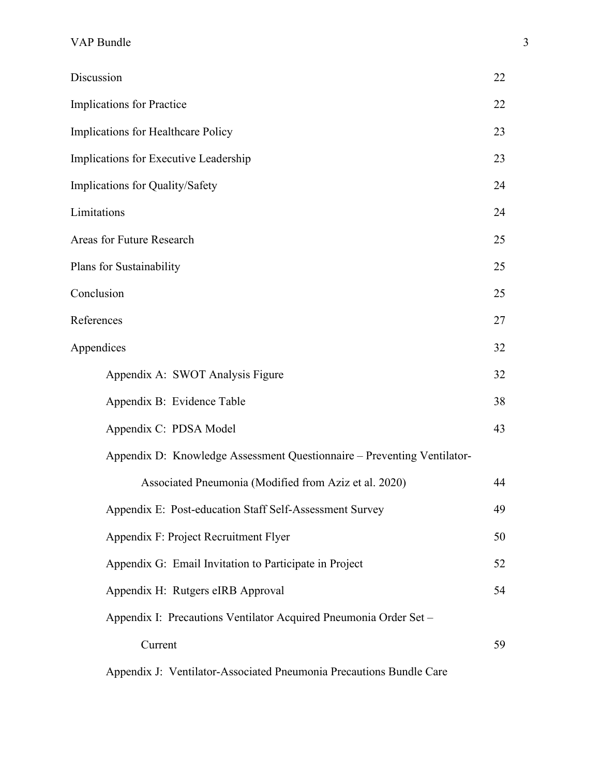| Discussion                                                              | 22 |
|-------------------------------------------------------------------------|----|
| <b>Implications for Practice</b>                                        | 22 |
| Implications for Healthcare Policy                                      | 23 |
| Implications for Executive Leadership                                   | 23 |
| Implications for Quality/Safety                                         | 24 |
| Limitations                                                             | 24 |
| Areas for Future Research                                               | 25 |
| Plans for Sustainability                                                | 25 |
| Conclusion                                                              | 25 |
| References                                                              | 27 |
| Appendices                                                              | 32 |
| Appendix A: SWOT Analysis Figure                                        | 32 |
| Appendix B: Evidence Table                                              | 38 |
| Appendix C: PDSA Model                                                  | 43 |
| Appendix D: Knowledge Assessment Questionnaire - Preventing Ventilator- |    |
| Associated Pneumonia (Modified from Aziz et al. 2020)                   | 44 |
| Appendix E: Post-education Staff Self-Assessment Survey                 | 49 |
| Appendix F: Project Recruitment Flyer                                   | 50 |
| Appendix G: Email Invitation to Participate in Project                  | 52 |
| Appendix H: Rutgers eIRB Approval                                       | 54 |
| Appendix I: Precautions Ventilator Acquired Pneumonia Order Set -       |    |
| Current                                                                 | 59 |
|                                                                         |    |

Appendix J: Ventilator-Associated Pneumonia Precautions Bundle Care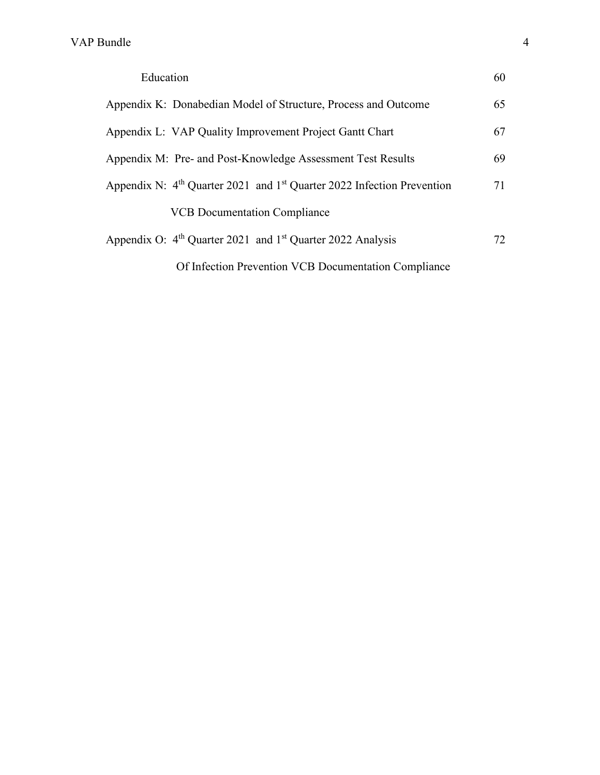| Education                                                                            | 60 |
|--------------------------------------------------------------------------------------|----|
| Appendix K: Donabedian Model of Structure, Process and Outcome                       | 65 |
| Appendix L: VAP Quality Improvement Project Gantt Chart                              | 67 |
| Appendix M: Pre- and Post-Knowledge Assessment Test Results                          | 69 |
| Appendix N: $4th$ Quarter 2021 and 1 <sup>st</sup> Quarter 2022 Infection Prevention | 71 |
| <b>VCB</b> Documentation Compliance                                                  |    |
| Appendix O: 4 <sup>th</sup> Quarter 2021 and 1 <sup>st</sup> Quarter 2022 Analysis   | 72 |
| Of Infection Prevention VCB Documentation Compliance                                 |    |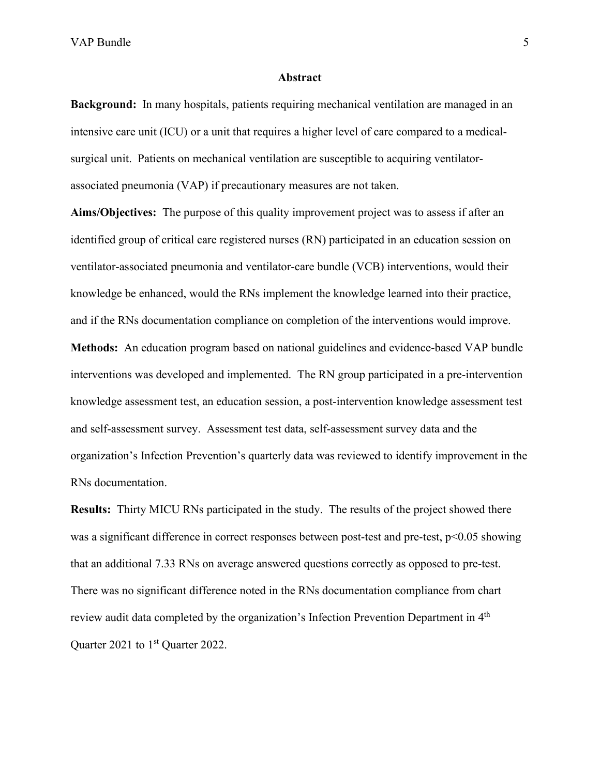#### **Abstract**

**Background:** In many hospitals, patients requiring mechanical ventilation are managed in an intensive care unit (ICU) or a unit that requires a higher level of care compared to a medicalsurgical unit. Patients on mechanical ventilation are susceptible to acquiring ventilatorassociated pneumonia (VAP) if precautionary measures are not taken.

**Aims/Objectives:** The purpose of this quality improvement project was to assess if after an identified group of critical care registered nurses (RN) participated in an education session on ventilator-associated pneumonia and ventilator-care bundle (VCB) interventions, would their knowledge be enhanced, would the RNs implement the knowledge learned into their practice, and if the RNs documentation compliance on completion of the interventions would improve.

**Methods:** An education program based on national guidelines and evidence-based VAP bundle interventions was developed and implemented. The RN group participated in a pre-intervention knowledge assessment test, an education session, a post-intervention knowledge assessment test and self-assessment survey. Assessment test data, self-assessment survey data and the organization's Infection Prevention's quarterly data was reviewed to identify improvement in the RNs documentation.

**Results:** Thirty MICU RNs participated in the study. The results of the project showed there was a significant difference in correct responses between post-test and pre-test, p<0.05 showing that an additional 7.33 RNs on average answered questions correctly as opposed to pre-test. There was no significant difference noted in the RNs documentation compliance from chart review audit data completed by the organization's Infection Prevention Department in 4th Quarter 2021 to 1<sup>st</sup> Quarter 2022.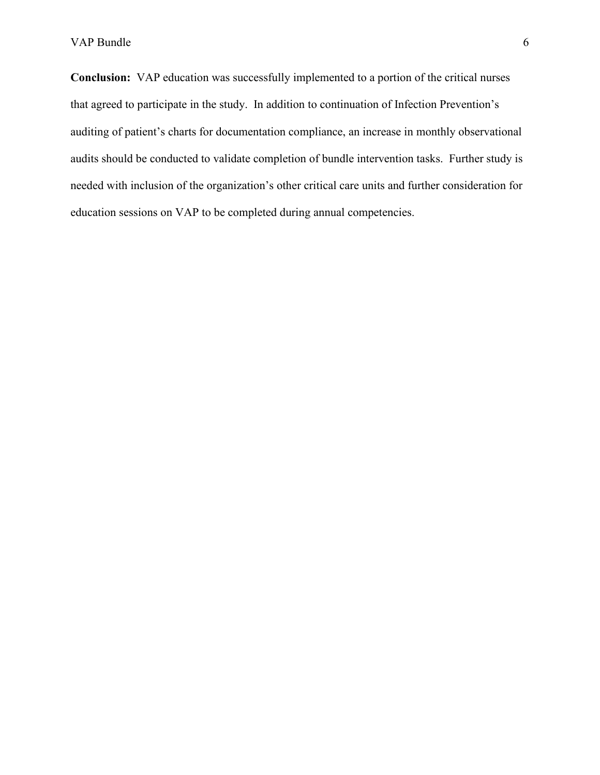**Conclusion:** VAP education was successfully implemented to a portion of the critical nurses that agreed to participate in the study. In addition to continuation of Infection Prevention's auditing of patient's charts for documentation compliance, an increase in monthly observational audits should be conducted to validate completion of bundle intervention tasks. Further study is needed with inclusion of the organization's other critical care units and further consideration for education sessions on VAP to be completed during annual competencies.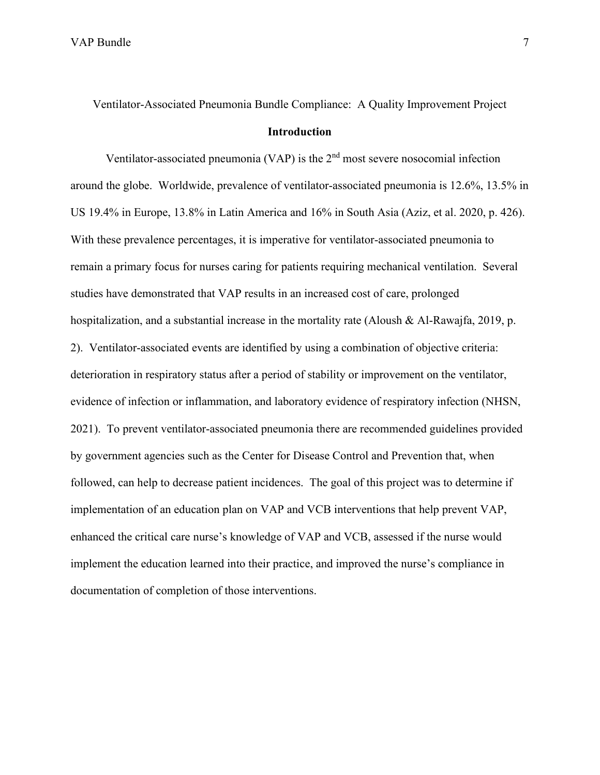Ventilator-Associated Pneumonia Bundle Compliance: A Quality Improvement Project

#### **Introduction**

Ventilator-associated pneumonia (VAP) is the  $2<sup>nd</sup>$  most severe nosocomial infection around the globe. Worldwide, prevalence of ventilator-associated pneumonia is 12.6%, 13.5% in US 19.4% in Europe, 13.8% in Latin America and 16% in South Asia (Aziz, et al. 2020, p. 426). With these prevalence percentages, it is imperative for ventilator-associated pneumonia to remain a primary focus for nurses caring for patients requiring mechanical ventilation. Several studies have demonstrated that VAP results in an increased cost of care, prolonged hospitalization, and a substantial increase in the mortality rate (Aloush & Al-Rawajfa, 2019, p. 2). Ventilator-associated events are identified by using a combination of objective criteria: deterioration in respiratory status after a period of stability or improvement on the ventilator, evidence of infection or inflammation, and laboratory evidence of respiratory infection (NHSN, 2021). To prevent ventilator-associated pneumonia there are recommended guidelines provided by government agencies such as the Center for Disease Control and Prevention that, when followed, can help to decrease patient incidences. The goal of this project was to determine if implementation of an education plan on VAP and VCB interventions that help prevent VAP, enhanced the critical care nurse's knowledge of VAP and VCB, assessed if the nurse would implement the education learned into their practice, and improved the nurse's compliance in documentation of completion of those interventions.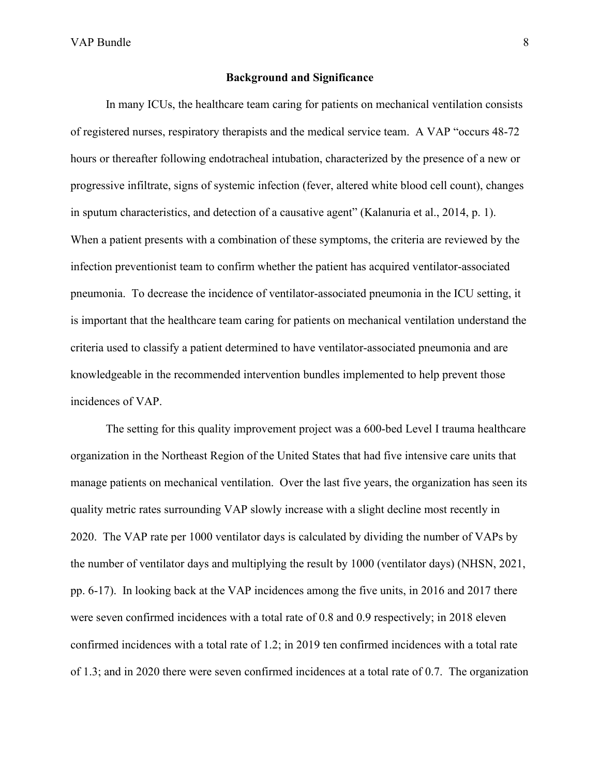#### **Background and Significance**

In many ICUs, the healthcare team caring for patients on mechanical ventilation consists of registered nurses, respiratory therapists and the medical service team. A VAP "occurs 48-72 hours or thereafter following endotracheal intubation, characterized by the presence of a new or progressive infiltrate, signs of systemic infection (fever, altered white blood cell count), changes in sputum characteristics, and detection of a causative agent" (Kalanuria et al., 2014, p. 1). When a patient presents with a combination of these symptoms, the criteria are reviewed by the infection preventionist team to confirm whether the patient has acquired ventilator-associated pneumonia. To decrease the incidence of ventilator-associated pneumonia in the ICU setting, it is important that the healthcare team caring for patients on mechanical ventilation understand the criteria used to classify a patient determined to have ventilator-associated pneumonia and are knowledgeable in the recommended intervention bundles implemented to help prevent those incidences of VAP.

The setting for this quality improvement project was a 600-bed Level I trauma healthcare organization in the Northeast Region of the United States that had five intensive care units that manage patients on mechanical ventilation. Over the last five years, the organization has seen its quality metric rates surrounding VAP slowly increase with a slight decline most recently in 2020. The VAP rate per 1000 ventilator days is calculated by dividing the number of VAPs by the number of ventilator days and multiplying the result by 1000 (ventilator days) (NHSN, 2021, pp. 6-17). In looking back at the VAP incidences among the five units, in 2016 and 2017 there were seven confirmed incidences with a total rate of 0.8 and 0.9 respectively; in 2018 eleven confirmed incidences with a total rate of 1.2; in 2019 ten confirmed incidences with a total rate of 1.3; and in 2020 there were seven confirmed incidences at a total rate of 0.7. The organization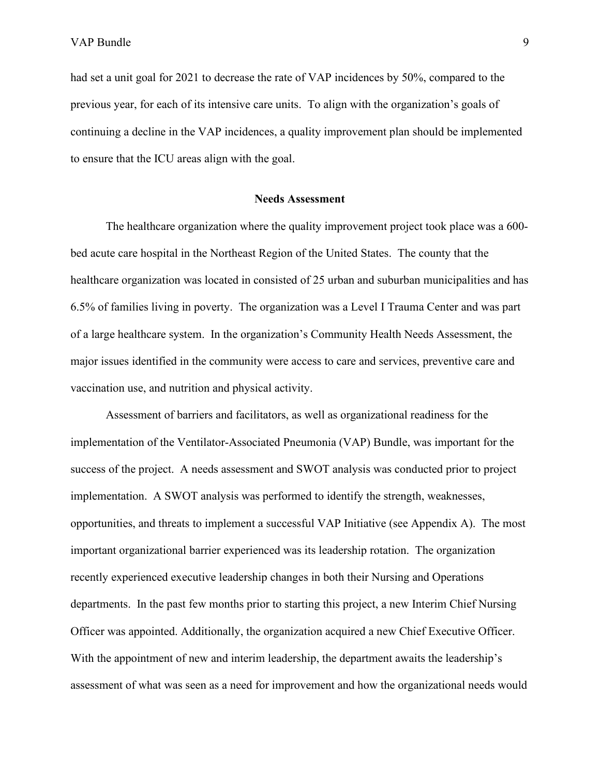had set a unit goal for 2021 to decrease the rate of VAP incidences by 50%, compared to the previous year, for each of its intensive care units. To align with the organization's goals of continuing a decline in the VAP incidences, a quality improvement plan should be implemented to ensure that the ICU areas align with the goal.

#### **Needs Assessment**

The healthcare organization where the quality improvement project took place was a 600 bed acute care hospital in the Northeast Region of the United States. The county that the healthcare organization was located in consisted of 25 urban and suburban municipalities and has 6.5% of families living in poverty. The organization was a Level I Trauma Center and was part of a large healthcare system. In the organization's Community Health Needs Assessment, the major issues identified in the community were access to care and services, preventive care and vaccination use, and nutrition and physical activity.

Assessment of barriers and facilitators, as well as organizational readiness for the implementation of the Ventilator-Associated Pneumonia (VAP) Bundle, was important for the success of the project. A needs assessment and SWOT analysis was conducted prior to project implementation. A SWOT analysis was performed to identify the strength, weaknesses, opportunities, and threats to implement a successful VAP Initiative (see Appendix A). The most important organizational barrier experienced was its leadership rotation. The organization recently experienced executive leadership changes in both their Nursing and Operations departments. In the past few months prior to starting this project, a new Interim Chief Nursing Officer was appointed. Additionally, the organization acquired a new Chief Executive Officer. With the appointment of new and interim leadership, the department awaits the leadership's assessment of what was seen as a need for improvement and how the organizational needs would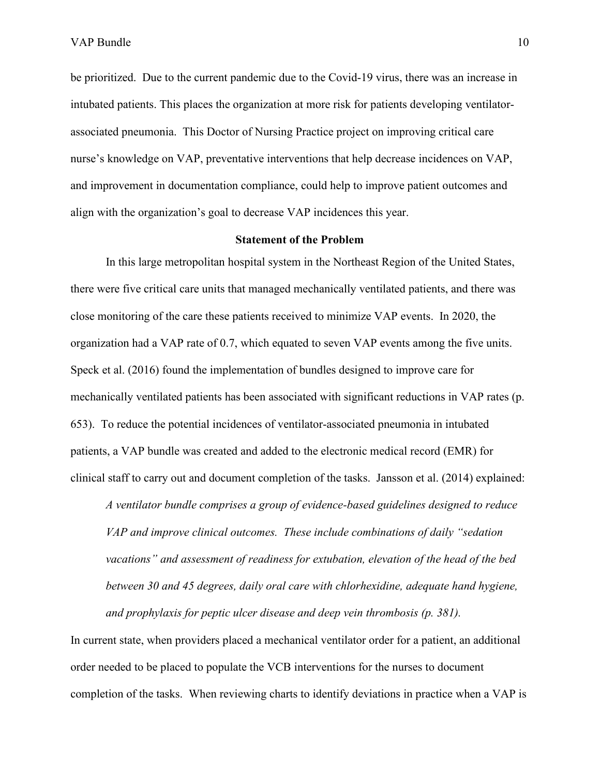be prioritized. Due to the current pandemic due to the Covid-19 virus, there was an increase in intubated patients. This places the organization at more risk for patients developing ventilatorassociated pneumonia. This Doctor of Nursing Practice project on improving critical care nurse's knowledge on VAP, preventative interventions that help decrease incidences on VAP, and improvement in documentation compliance, could help to improve patient outcomes and align with the organization's goal to decrease VAP incidences this year.

#### **Statement of the Problem**

In this large metropolitan hospital system in the Northeast Region of the United States, there were five critical care units that managed mechanically ventilated patients, and there was close monitoring of the care these patients received to minimize VAP events. In 2020, the organization had a VAP rate of 0.7, which equated to seven VAP events among the five units. Speck et al. (2016) found the implementation of bundles designed to improve care for mechanically ventilated patients has been associated with significant reductions in VAP rates (p. 653). To reduce the potential incidences of ventilator-associated pneumonia in intubated patients, a VAP bundle was created and added to the electronic medical record (EMR) for clinical staff to carry out and document completion of the tasks. Jansson et al. (2014) explained:

*A ventilator bundle comprises a group of evidence-based guidelines designed to reduce VAP and improve clinical outcomes. These include combinations of daily "sedation vacations" and assessment of readiness for extubation, elevation of the head of the bed between 30 and 45 degrees, daily oral care with chlorhexidine, adequate hand hygiene, and prophylaxis for peptic ulcer disease and deep vein thrombosis (p. 381).*

In current state, when providers placed a mechanical ventilator order for a patient, an additional order needed to be placed to populate the VCB interventions for the nurses to document completion of the tasks. When reviewing charts to identify deviations in practice when a VAP is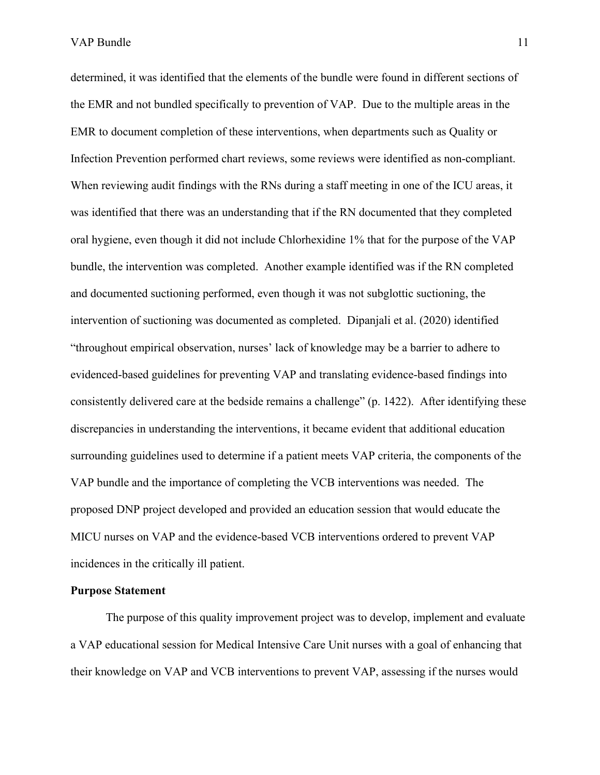determined, it was identified that the elements of the bundle were found in different sections of the EMR and not bundled specifically to prevention of VAP. Due to the multiple areas in the EMR to document completion of these interventions, when departments such as Quality or Infection Prevention performed chart reviews, some reviews were identified as non-compliant. When reviewing audit findings with the RNs during a staff meeting in one of the ICU areas, it was identified that there was an understanding that if the RN documented that they completed oral hygiene, even though it did not include Chlorhexidine 1% that for the purpose of the VAP bundle, the intervention was completed. Another example identified was if the RN completed and documented suctioning performed, even though it was not subglottic suctioning, the intervention of suctioning was documented as completed. Dipanjali et al. (2020) identified "throughout empirical observation, nurses' lack of knowledge may be a barrier to adhere to evidenced-based guidelines for preventing VAP and translating evidence-based findings into consistently delivered care at the bedside remains a challenge" (p. 1422). After identifying these discrepancies in understanding the interventions, it became evident that additional education surrounding guidelines used to determine if a patient meets VAP criteria, the components of the VAP bundle and the importance of completing the VCB interventions was needed. The proposed DNP project developed and provided an education session that would educate the MICU nurses on VAP and the evidence-based VCB interventions ordered to prevent VAP incidences in the critically ill patient.

#### **Purpose Statement**

The purpose of this quality improvement project was to develop, implement and evaluate a VAP educational session for Medical Intensive Care Unit nurses with a goal of enhancing that their knowledge on VAP and VCB interventions to prevent VAP, assessing if the nurses would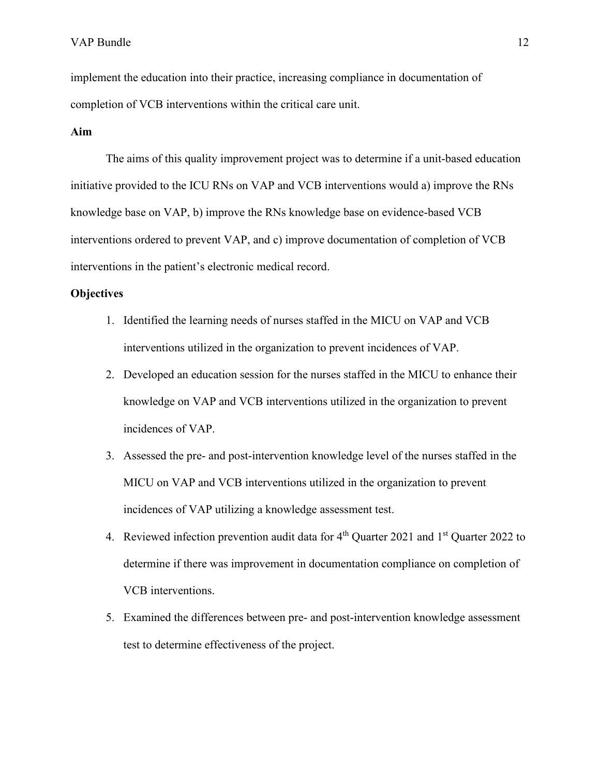implement the education into their practice, increasing compliance in documentation of completion of VCB interventions within the critical care unit.

#### **Aim**

The aims of this quality improvement project was to determine if a unit-based education initiative provided to the ICU RNs on VAP and VCB interventions would a) improve the RNs knowledge base on VAP, b) improve the RNs knowledge base on evidence-based VCB interventions ordered to prevent VAP, and c) improve documentation of completion of VCB interventions in the patient's electronic medical record.

#### **Objectives**

- 1. Identified the learning needs of nurses staffed in the MICU on VAP and VCB interventions utilized in the organization to prevent incidences of VAP.
- 2. Developed an education session for the nurses staffed in the MICU to enhance their knowledge on VAP and VCB interventions utilized in the organization to prevent incidences of VAP.
- 3. Assessed the pre- and post-intervention knowledge level of the nurses staffed in the MICU on VAP and VCB interventions utilized in the organization to prevent incidences of VAP utilizing a knowledge assessment test.
- 4. Reviewed infection prevention audit data for  $4<sup>th</sup>$  Quarter 2021 and  $1<sup>st</sup>$  Quarter 2022 to determine if there was improvement in documentation compliance on completion of VCB interventions.
- 5. Examined the differences between pre- and post-intervention knowledge assessment test to determine effectiveness of the project.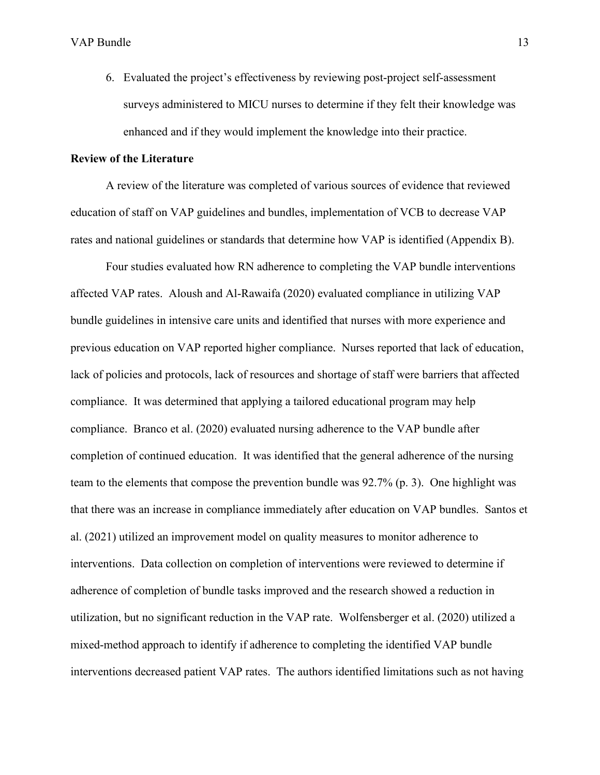6. Evaluated the project's effectiveness by reviewing post-project self-assessment surveys administered to MICU nurses to determine if they felt their knowledge was enhanced and if they would implement the knowledge into their practice.

#### **Review of the Literature**

A review of the literature was completed of various sources of evidence that reviewed education of staff on VAP guidelines and bundles, implementation of VCB to decrease VAP rates and national guidelines or standards that determine how VAP is identified (Appendix B).

 Four studies evaluated how RN adherence to completing the VAP bundle interventions affected VAP rates. Aloush and Al-Rawaifa (2020) evaluated compliance in utilizing VAP bundle guidelines in intensive care units and identified that nurses with more experience and previous education on VAP reported higher compliance. Nurses reported that lack of education, lack of policies and protocols, lack of resources and shortage of staff were barriers that affected compliance. It was determined that applying a tailored educational program may help compliance. Branco et al. (2020) evaluated nursing adherence to the VAP bundle after completion of continued education. It was identified that the general adherence of the nursing team to the elements that compose the prevention bundle was 92.7% (p. 3). One highlight was that there was an increase in compliance immediately after education on VAP bundles. Santos et al. (2021) utilized an improvement model on quality measures to monitor adherence to interventions. Data collection on completion of interventions were reviewed to determine if adherence of completion of bundle tasks improved and the research showed a reduction in utilization, but no significant reduction in the VAP rate. Wolfensberger et al. (2020) utilized a mixed-method approach to identify if adherence to completing the identified VAP bundle interventions decreased patient VAP rates. The authors identified limitations such as not having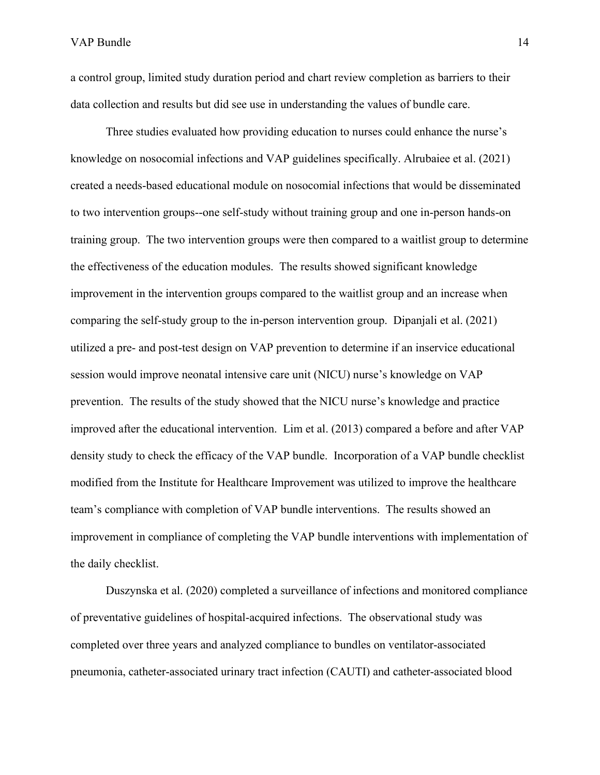a control group, limited study duration period and chart review completion as barriers to their data collection and results but did see use in understanding the values of bundle care.

Three studies evaluated how providing education to nurses could enhance the nurse's knowledge on nosocomial infections and VAP guidelines specifically. Alrubaiee et al. (2021) created a needs-based educational module on nosocomial infections that would be disseminated to two intervention groups--one self-study without training group and one in-person hands-on training group. The two intervention groups were then compared to a waitlist group to determine the effectiveness of the education modules. The results showed significant knowledge improvement in the intervention groups compared to the waitlist group and an increase when comparing the self-study group to the in-person intervention group. Dipanjali et al. (2021) utilized a pre- and post-test design on VAP prevention to determine if an inservice educational session would improve neonatal intensive care unit (NICU) nurse's knowledge on VAP prevention. The results of the study showed that the NICU nurse's knowledge and practice improved after the educational intervention. Lim et al. (2013) compared a before and after VAP density study to check the efficacy of the VAP bundle. Incorporation of a VAP bundle checklist modified from the Institute for Healthcare Improvement was utilized to improve the healthcare team's compliance with completion of VAP bundle interventions. The results showed an improvement in compliance of completing the VAP bundle interventions with implementation of the daily checklist.

Duszynska et al. (2020) completed a surveillance of infections and monitored compliance of preventative guidelines of hospital-acquired infections. The observational study was completed over three years and analyzed compliance to bundles on ventilator-associated pneumonia, catheter-associated urinary tract infection (CAUTI) and catheter-associated blood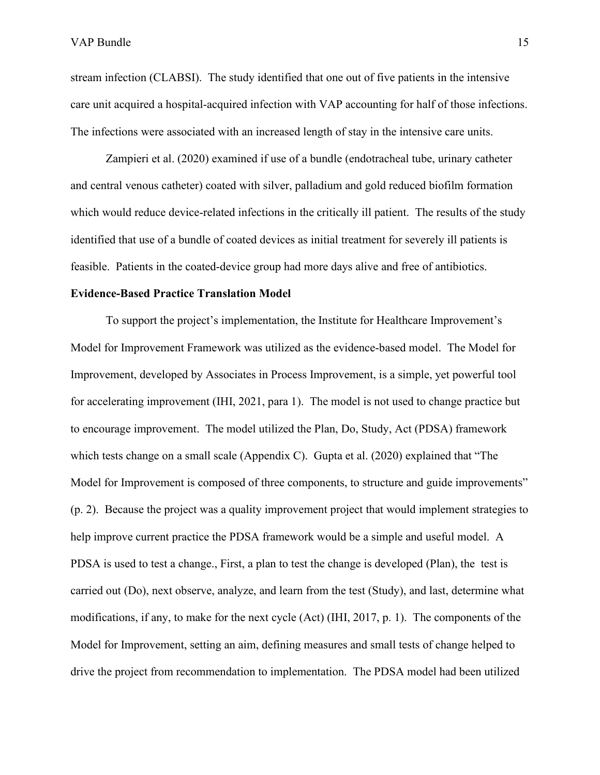stream infection (CLABSI). The study identified that one out of five patients in the intensive care unit acquired a hospital-acquired infection with VAP accounting for half of those infections. The infections were associated with an increased length of stay in the intensive care units.

Zampieri et al. (2020) examined if use of a bundle (endotracheal tube, urinary catheter and central venous catheter) coated with silver, palladium and gold reduced biofilm formation which would reduce device-related infections in the critically ill patient. The results of the study identified that use of a bundle of coated devices as initial treatment for severely ill patients is feasible. Patients in the coated-device group had more days alive and free of antibiotics.

#### **Evidence-Based Practice Translation Model**

To support the project's implementation, the Institute for Healthcare Improvement's Model for Improvement Framework was utilized as the evidence-based model. The Model for Improvement, developed by Associates in Process Improvement, is a simple, yet powerful tool for accelerating improvement (IHI, 2021, para 1). The model is not used to change practice but to encourage improvement. The model utilized the Plan, Do, Study, Act (PDSA) framework which tests change on a small scale (Appendix C). Gupta et al. (2020) explained that "The Model for Improvement is composed of three components, to structure and guide improvements" (p. 2). Because the project was a quality improvement project that would implement strategies to help improve current practice the PDSA framework would be a simple and useful model. A PDSA is used to test a change., First, a plan to test the change is developed (Plan), the test is carried out (Do), next observe, analyze, and learn from the test (Study), and last, determine what modifications, if any, to make for the next cycle (Act) (IHI, 2017, p. 1). The components of the Model for Improvement, setting an aim, defining measures and small tests of change helped to drive the project from recommendation to implementation. The PDSA model had been utilized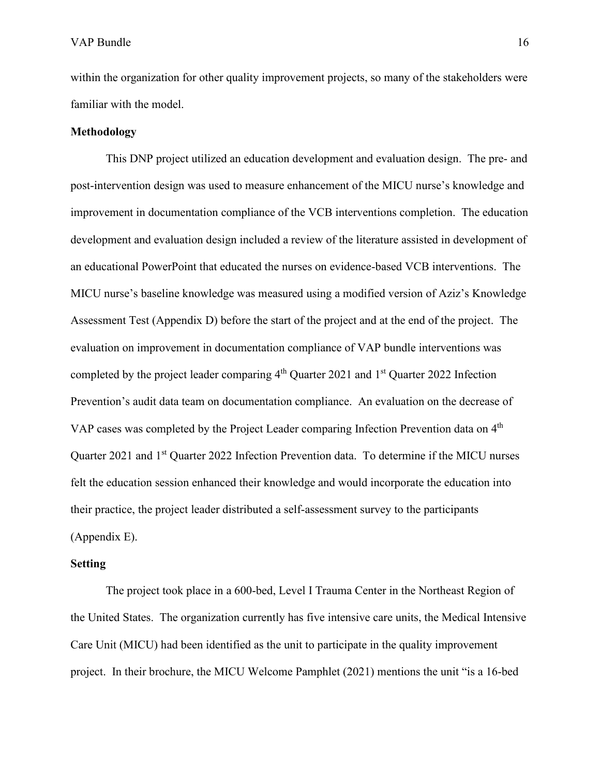within the organization for other quality improvement projects, so many of the stakeholders were familiar with the model.

#### **Methodology**

This DNP project utilized an education development and evaluation design. The pre- and post-intervention design was used to measure enhancement of the MICU nurse's knowledge and improvement in documentation compliance of the VCB interventions completion. The education development and evaluation design included a review of the literature assisted in development of an educational PowerPoint that educated the nurses on evidence-based VCB interventions. The MICU nurse's baseline knowledge was measured using a modified version of Aziz's Knowledge Assessment Test (Appendix D) before the start of the project and at the end of the project. The evaluation on improvement in documentation compliance of VAP bundle interventions was completed by the project leader comparing  $4<sup>th</sup>$  Quarter 2021 and  $1<sup>st</sup>$  Quarter 2022 Infection Prevention's audit data team on documentation compliance. An evaluation on the decrease of VAP cases was completed by the Project Leader comparing Infection Prevention data on 4<sup>th</sup> Quarter 2021 and 1<sup>st</sup> Quarter 2022 Infection Prevention data. To determine if the MICU nurses felt the education session enhanced their knowledge and would incorporate the education into their practice, the project leader distributed a self-assessment survey to the participants (Appendix E).

#### **Setting**

The project took place in a 600-bed, Level I Trauma Center in the Northeast Region of the United States. The organization currently has five intensive care units, the Medical Intensive Care Unit (MICU) had been identified as the unit to participate in the quality improvement project. In their brochure, the MICU Welcome Pamphlet (2021) mentions the unit "is a 16-bed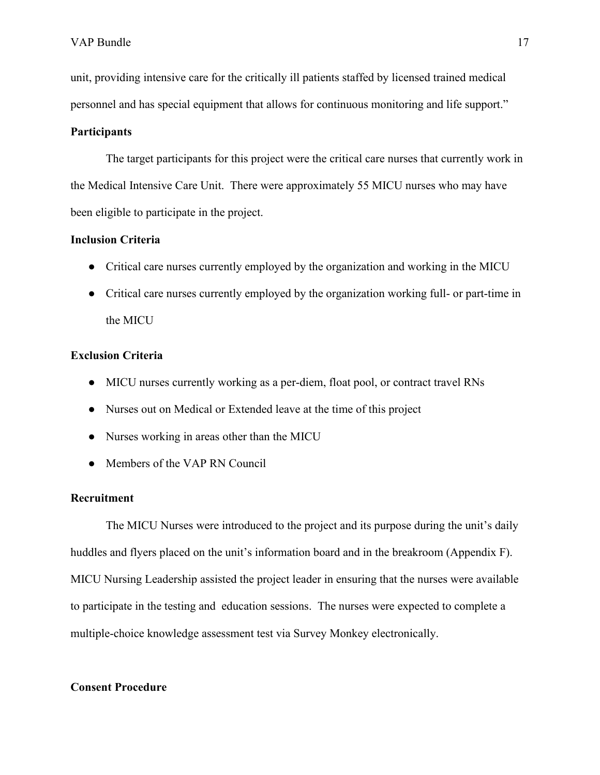unit, providing intensive care for the critically ill patients staffed by licensed trained medical personnel and has special equipment that allows for continuous monitoring and life support."

#### **Participants**

The target participants for this project were the critical care nurses that currently work in the Medical Intensive Care Unit. There were approximately 55 MICU nurses who may have been eligible to participate in the project.

### **Inclusion Criteria**

- Critical care nurses currently employed by the organization and working in the MICU
- Critical care nurses currently employed by the organization working full- or part-time in the MICU

### **Exclusion Criteria**

- MICU nurses currently working as a per-diem, float pool, or contract travel RNs
- Nurses out on Medical or Extended leave at the time of this project
- Nurses working in areas other than the MICU
- Members of the VAP RN Council

#### **Recruitment**

The MICU Nurses were introduced to the project and its purpose during the unit's daily huddles and flyers placed on the unit's information board and in the breakroom (Appendix F). MICU Nursing Leadership assisted the project leader in ensuring that the nurses were available to participate in the testing and education sessions. The nurses were expected to complete a multiple-choice knowledge assessment test via Survey Monkey electronically.

#### **Consent Procedure**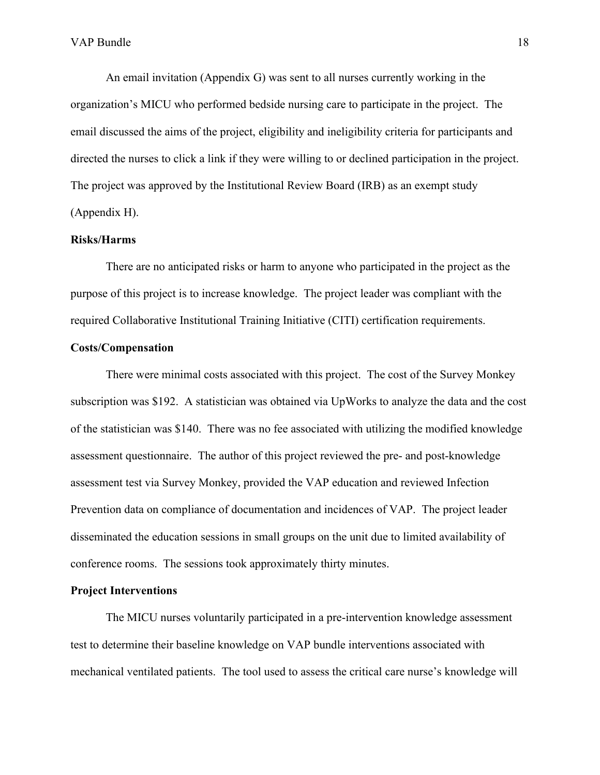An email invitation (Appendix G) was sent to all nurses currently working in the organization's MICU who performed bedside nursing care to participate in the project. The email discussed the aims of the project, eligibility and ineligibility criteria for participants and directed the nurses to click a link if they were willing to or declined participation in the project. The project was approved by the Institutional Review Board (IRB) as an exempt study (Appendix H).

#### **Risks/Harms**

There are no anticipated risks or harm to anyone who participated in the project as the purpose of this project is to increase knowledge. The project leader was compliant with the required Collaborative Institutional Training Initiative (CITI) certification requirements.

#### **Costs/Compensation**

There were minimal costs associated with this project. The cost of the Survey Monkey subscription was \$192. A statistician was obtained via UpWorks to analyze the data and the cost of the statistician was \$140. There was no fee associated with utilizing the modified knowledge assessment questionnaire. The author of this project reviewed the pre- and post-knowledge assessment test via Survey Monkey, provided the VAP education and reviewed Infection Prevention data on compliance of documentation and incidences of VAP. The project leader disseminated the education sessions in small groups on the unit due to limited availability of conference rooms. The sessions took approximately thirty minutes.

#### **Project Interventions**

The MICU nurses voluntarily participated in a pre-intervention knowledge assessment test to determine their baseline knowledge on VAP bundle interventions associated with mechanical ventilated patients. The tool used to assess the critical care nurse's knowledge will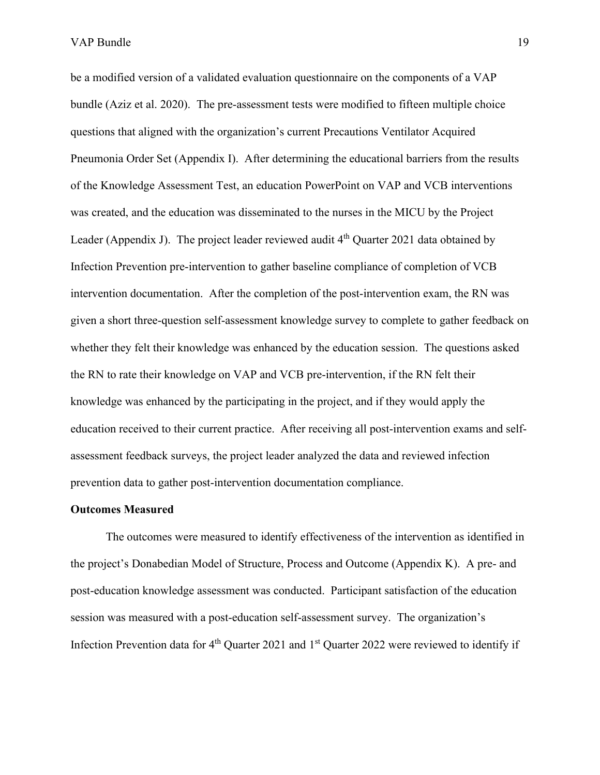be a modified version of a validated evaluation questionnaire on the components of a VAP bundle (Aziz et al. 2020). The pre-assessment tests were modified to fifteen multiple choice questions that aligned with the organization's current Precautions Ventilator Acquired Pneumonia Order Set (Appendix I). After determining the educational barriers from the results of the Knowledge Assessment Test, an education PowerPoint on VAP and VCB interventions was created, and the education was disseminated to the nurses in the MICU by the Project Leader (Appendix J). The project leader reviewed audit  $4<sup>th</sup>$  Quarter 2021 data obtained by Infection Prevention pre-intervention to gather baseline compliance of completion of VCB intervention documentation. After the completion of the post-intervention exam, the RN was given a short three-question self-assessment knowledge survey to complete to gather feedback on whether they felt their knowledge was enhanced by the education session. The questions asked the RN to rate their knowledge on VAP and VCB pre-intervention, if the RN felt their knowledge was enhanced by the participating in the project, and if they would apply the education received to their current practice. After receiving all post-intervention exams and selfassessment feedback surveys, the project leader analyzed the data and reviewed infection prevention data to gather post-intervention documentation compliance.

#### **Outcomes Measured**

The outcomes were measured to identify effectiveness of the intervention as identified in the project's Donabedian Model of Structure, Process and Outcome (Appendix K). A pre- and post-education knowledge assessment was conducted. Participant satisfaction of the education session was measured with a post-education self-assessment survey. The organization's Infection Prevention data for  $4<sup>th</sup>$  Quarter 2021 and  $1<sup>st</sup>$  Quarter 2022 were reviewed to identify if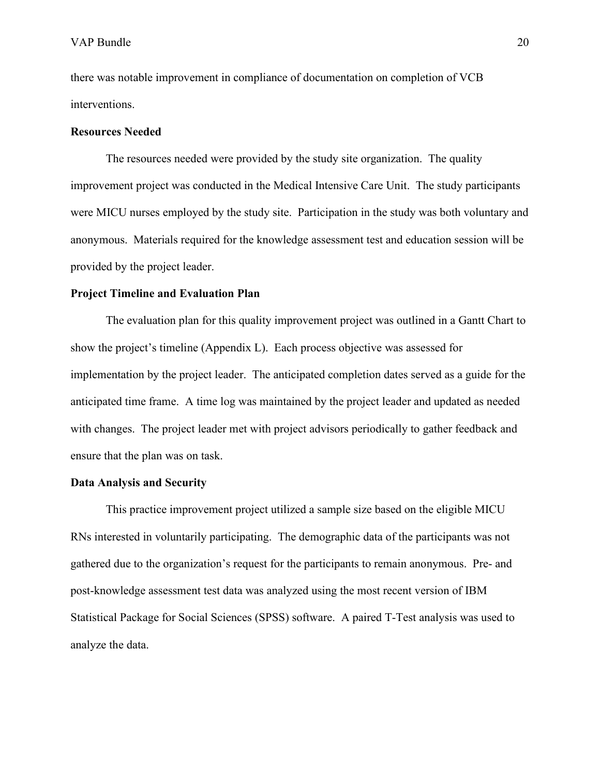there was notable improvement in compliance of documentation on completion of VCB interventions.

#### **Resources Needed**

The resources needed were provided by the study site organization. The quality improvement project was conducted in the Medical Intensive Care Unit. The study participants were MICU nurses employed by the study site. Participation in the study was both voluntary and anonymous. Materials required for the knowledge assessment test and education session will be provided by the project leader.

#### **Project Timeline and Evaluation Plan**

The evaluation plan for this quality improvement project was outlined in a Gantt Chart to show the project's timeline (Appendix L). Each process objective was assessed for implementation by the project leader. The anticipated completion dates served as a guide for the anticipated time frame. A time log was maintained by the project leader and updated as needed with changes. The project leader met with project advisors periodically to gather feedback and ensure that the plan was on task.

#### **Data Analysis and Security**

This practice improvement project utilized a sample size based on the eligible MICU RNs interested in voluntarily participating. The demographic data of the participants was not gathered due to the organization's request for the participants to remain anonymous. Pre- and post-knowledge assessment test data was analyzed using the most recent version of IBM Statistical Package for Social Sciences (SPSS) software. A paired T-Test analysis was used to analyze the data.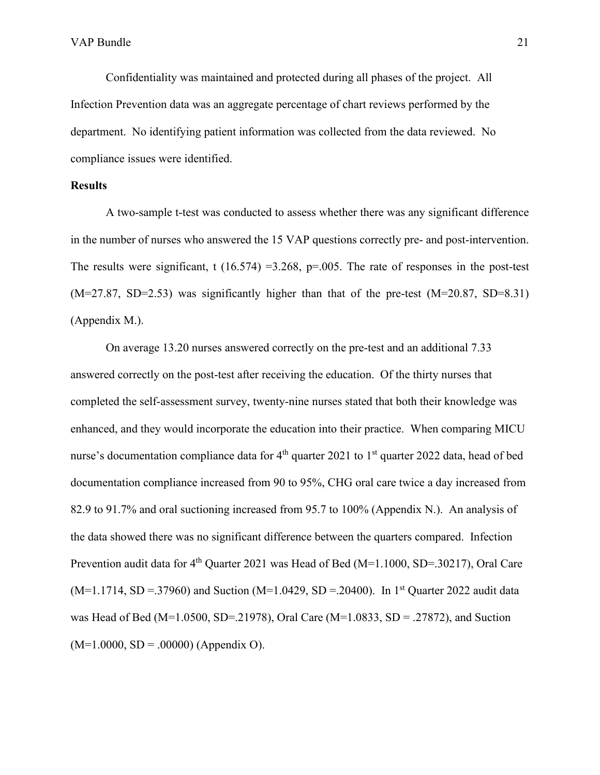Confidentiality was maintained and protected during all phases of the project. All Infection Prevention data was an aggregate percentage of chart reviews performed by the department. No identifying patient information was collected from the data reviewed. No compliance issues were identified.

#### **Results**

A two-sample t-test was conducted to assess whether there was any significant difference in the number of nurses who answered the 15 VAP questions correctly pre- and post-intervention. The results were significant, t (16.574) = 3.268, p=.005. The rate of responses in the post-test  $(M=27.87, SD=2.53)$  was significantly higher than that of the pre-test  $(M=20.87, SD=8.31)$ (Appendix M.).

On average 13.20 nurses answered correctly on the pre-test and an additional 7.33 answered correctly on the post-test after receiving the education. Of the thirty nurses that completed the self-assessment survey, twenty-nine nurses stated that both their knowledge was enhanced, and they would incorporate the education into their practice. When comparing MICU nurse's documentation compliance data for  $4<sup>th</sup>$  quarter 2021 to 1<sup>st</sup> quarter 2022 data, head of bed documentation compliance increased from 90 to 95%, CHG oral care twice a day increased from 82.9 to 91.7% and oral suctioning increased from 95.7 to 100% (Appendix N.). An analysis of the data showed there was no significant difference between the quarters compared. Infection Prevention audit data for  $4^{th}$  Quarter 2021 was Head of Bed (M=1.1000, SD=.30217), Oral Care  $(M=1.1714, SD = .37960)$  and Suction  $(M=1.0429, SD = .20400)$ . In 1<sup>st</sup> Quarter 2022 audit data was Head of Bed (M=1.0500, SD=.21978), Oral Care (M=1.0833, SD = .27872), and Suction  $(M=1.0000, SD = .00000)$  (Appendix O).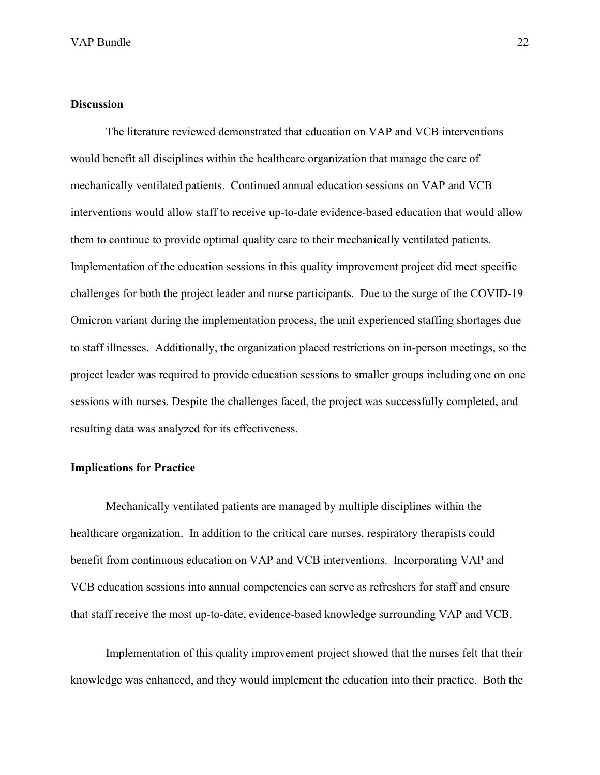### **Discussion**

The literature reviewed demonstrated that education on VAP and VCB interventions would benefit all disciplines within the healthcare organization that manage the care of mechanically ventilated patients. Continued annual education sessions on VAP and VCB interventions would allow staff to receive up-to-date evidence-based education that would allow them to continue to provide optimal quality care to their mechanically ventilated patients. Implementation of the education sessions in this quality improvement project did meet specific challenges for both the project leader and nurse participants. Due to the surge of the COVID-19 Omicron variant during the implementation process, the unit experienced staffing shortages due to staff illnesses. Additionally, the organization placed restrictions on in-person meetings, so the project leader was required to provide education sessions to smaller groups including one on one sessions with nurses. Despite the challenges faced, the project was successfully completed, and resulting data was analyzed for its effectiveness.

#### **Implications for Practice**

Mechanically ventilated patients are managed by multiple disciplines within the healthcare organization. In addition to the critical care nurses, respiratory therapists could benefit from continuous education on VAP and VCB interventions. Incorporating VAP and VCB education sessions into annual competencies can serve as refreshers for staff and ensure that staff receive the most up-to-date, evidence-based knowledge surrounding VAP and VCB.

Implementation of this quality improvement project showed that the nurses felt that their knowledge was enhanced, and they would implement the education into their practice. Both the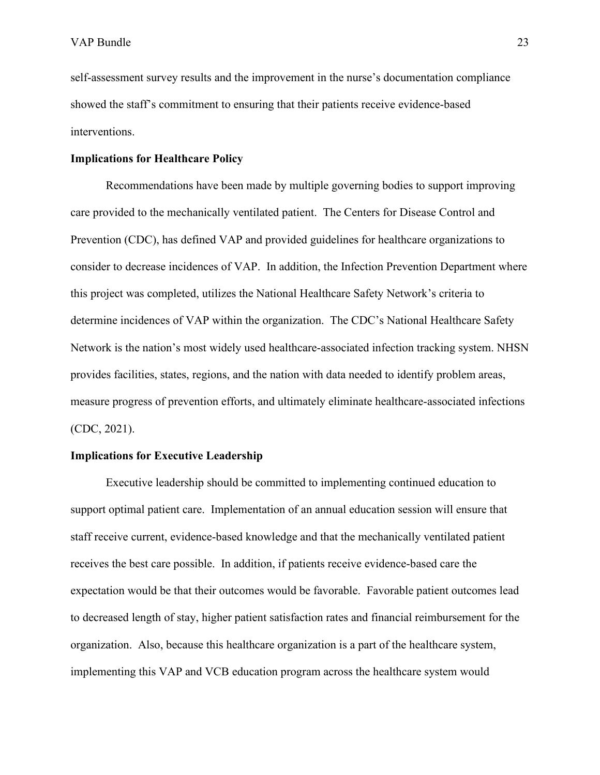self-assessment survey results and the improvement in the nurse's documentation compliance showed the staff's commitment to ensuring that their patients receive evidence-based interventions.

#### **Implications for Healthcare Policy**

Recommendations have been made by multiple governing bodies to support improving care provided to the mechanically ventilated patient. The Centers for Disease Control and Prevention (CDC), has defined VAP and provided guidelines for healthcare organizations to consider to decrease incidences of VAP. In addition, the Infection Prevention Department where this project was completed, utilizes the National Healthcare Safety Network's criteria to determine incidences of VAP within the organization. The CDC's National Healthcare Safety Network is the nation's most widely used healthcare-associated infection tracking system. NHSN provides facilities, states, regions, and the nation with data needed to identify problem areas, measure progress of prevention efforts, and ultimately eliminate healthcare-associated infections (CDC, 2021).

#### **Implications for Executive Leadership**

Executive leadership should be committed to implementing continued education to support optimal patient care. Implementation of an annual education session will ensure that staff receive current, evidence-based knowledge and that the mechanically ventilated patient receives the best care possible. In addition, if patients receive evidence-based care the expectation would be that their outcomes would be favorable. Favorable patient outcomes lead to decreased length of stay, higher patient satisfaction rates and financial reimbursement for the organization. Also, because this healthcare organization is a part of the healthcare system, implementing this VAP and VCB education program across the healthcare system would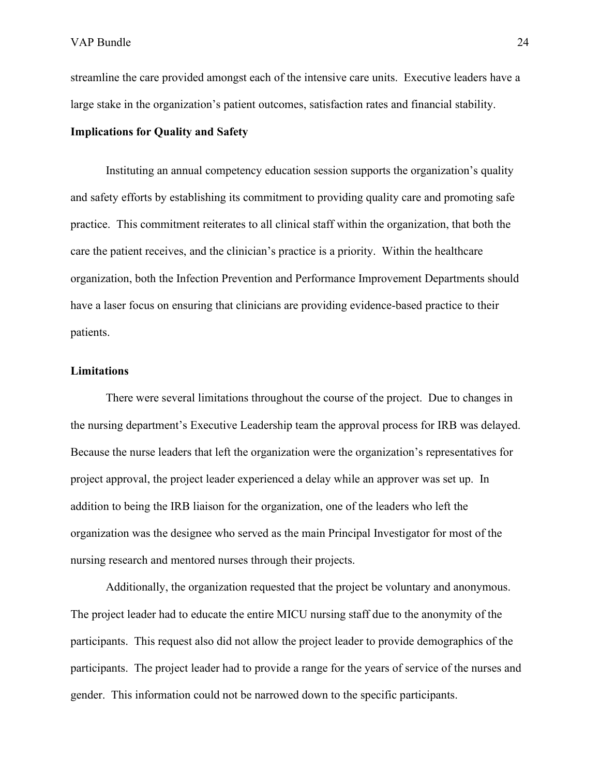streamline the care provided amongst each of the intensive care units. Executive leaders have a large stake in the organization's patient outcomes, satisfaction rates and financial stability.

#### **Implications for Quality and Safety**

Instituting an annual competency education session supports the organization's quality and safety efforts by establishing its commitment to providing quality care and promoting safe practice. This commitment reiterates to all clinical staff within the organization, that both the care the patient receives, and the clinician's practice is a priority. Within the healthcare organization, both the Infection Prevention and Performance Improvement Departments should have a laser focus on ensuring that clinicians are providing evidence-based practice to their patients.

### **Limitations**

There were several limitations throughout the course of the project. Due to changes in the nursing department's Executive Leadership team the approval process for IRB was delayed. Because the nurse leaders that left the organization were the organization's representatives for project approval, the project leader experienced a delay while an approver was set up. In addition to being the IRB liaison for the organization, one of the leaders who left the organization was the designee who served as the main Principal Investigator for most of the nursing research and mentored nurses through their projects.

Additionally, the organization requested that the project be voluntary and anonymous. The project leader had to educate the entire MICU nursing staff due to the anonymity of the participants. This request also did not allow the project leader to provide demographics of the participants. The project leader had to provide a range for the years of service of the nurses and gender. This information could not be narrowed down to the specific participants.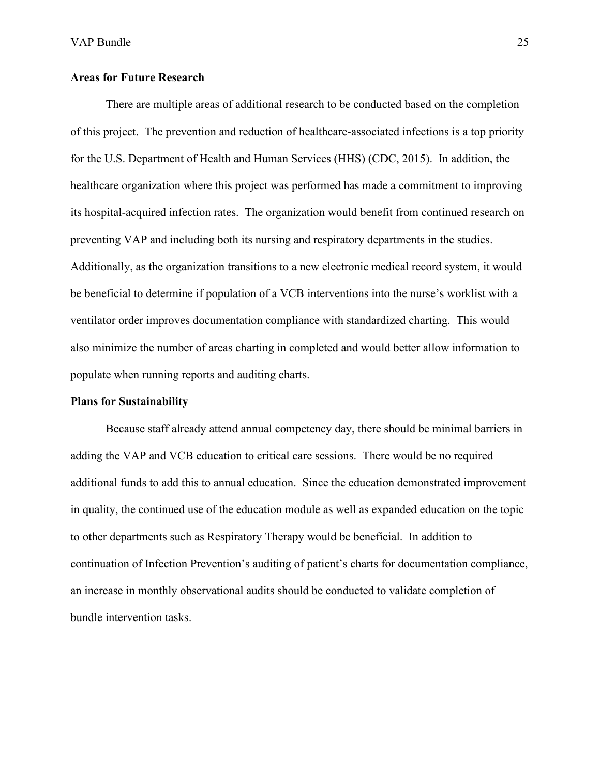#### **Areas for Future Research**

There are multiple areas of additional research to be conducted based on the completion of this project. The prevention and reduction of healthcare-associated infections is a top priority for the U.S. Department of Health and Human Services (HHS) (CDC, 2015). In addition, the healthcare organization where this project was performed has made a commitment to improving its hospital-acquired infection rates. The organization would benefit from continued research on preventing VAP and including both its nursing and respiratory departments in the studies. Additionally, as the organization transitions to a new electronic medical record system, it would be beneficial to determine if population of a VCB interventions into the nurse's worklist with a ventilator order improves documentation compliance with standardized charting. This would also minimize the number of areas charting in completed and would better allow information to populate when running reports and auditing charts.

#### **Plans for Sustainability**

Because staff already attend annual competency day, there should be minimal barriers in adding the VAP and VCB education to critical care sessions. There would be no required additional funds to add this to annual education. Since the education demonstrated improvement in quality, the continued use of the education module as well as expanded education on the topic to other departments such as Respiratory Therapy would be beneficial. In addition to continuation of Infection Prevention's auditing of patient's charts for documentation compliance, an increase in monthly observational audits should be conducted to validate completion of bundle intervention tasks.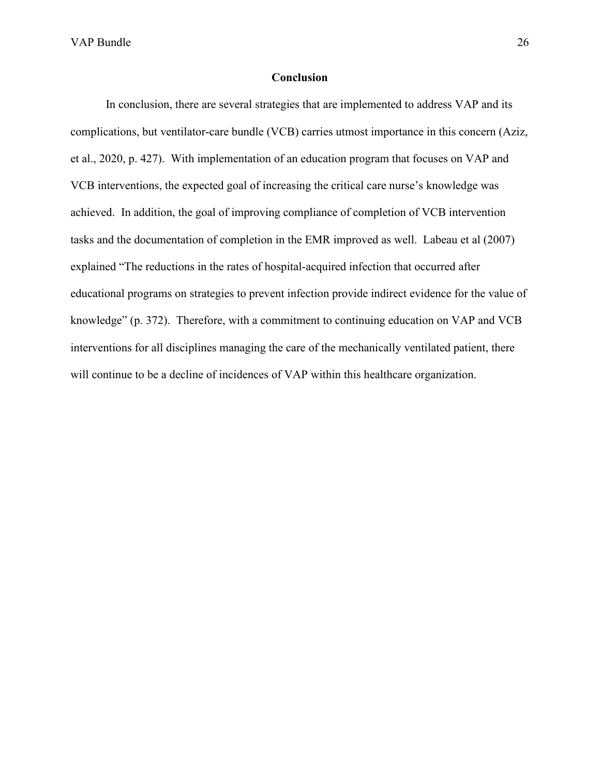#### **Conclusion**

In conclusion, there are several strategies that are implemented to address VAP and its complications, but ventilator-care bundle (VCB) carries utmost importance in this concern (Aziz, et al., 2020, p. 427). With implementation of an education program that focuses on VAP and VCB interventions, the expected goal of increasing the critical care nurse's knowledge was achieved. In addition, the goal of improving compliance of completion of VCB intervention tasks and the documentation of completion in the EMR improved as well. Labeau et al (2007) explained "The reductions in the rates of hospital-acquired infection that occurred after educational programs on strategies to prevent infection provide indirect evidence for the value of knowledge" (p. 372). Therefore, with a commitment to continuing education on VAP and VCB interventions for all disciplines managing the care of the mechanically ventilated patient, there will continue to be a decline of incidences of VAP within this healthcare organization.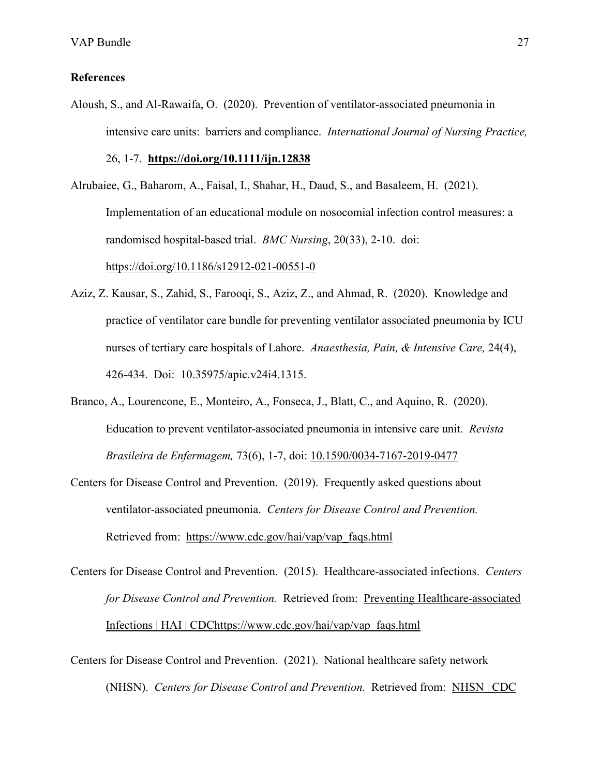#### **References**

Aloush, S., and Al-Rawaifa, O. (2020). Prevention of ventilator-associated pneumonia in intensive care units: barriers and compliance. *International Journal of Nursing Practice,*  26, 1-7. **<https://doi.org/10.1111/ijn.12838>**

Alrubaiee, G., Baharom, A., Faisal, I., Shahar, H., Daud, S., and Basaleem, H. (2021). Implementation of an educational module on nosocomial infection control measures: a randomised hospital-based trial. *BMC Nursing*, 20(33), 2-10. doi: <https://doi.org/10.1186/s12912-021-00551-0>

- Aziz, Z. Kausar, S., Zahid, S., Farooqi, S., Aziz, Z., and Ahmad, R. (2020). Knowledge and practice of ventilator care bundle for preventing ventilator associated pneumonia by ICU nurses of tertiary care hospitals of Lahore. *Anaesthesia, Pain, & Intensive Care,* 24(4), 426-434. Doi: 10.35975/apic.v24i4.1315.
- Branco, A., Lourencone, E., Monteiro, A., Fonseca, J., Blatt, C., and Aquino, R. (2020). Education to prevent ventilator-associated pneumonia in intensive care unit. *Revista Brasileira de Enfermagem,* 73(6), 1-7, doi: [10.1590/0034-7167-2019-0477](https://doi.org/10.1590/0034-7167-2019-0477)
- Centers for Disease Control and Prevention. (2019). Frequently asked questions about ventilator-associated pneumonia. *Centers for Disease Control and Prevention.*  Retrieved from: [https://www.cdc.gov/hai/vap/vap\\_faqs.html](https://www.cdc.gov/hai/vap/vap_faqs.html)
- Centers for Disease Control and Prevention. (2015). Healthcare-associated infections. *Centers for Disease Control and Prevention.* Retrieved from: [Preventing Healthcare-associated](https://www.cdc.gov/hai/prevent/prevention.html)  [Infections | HAI | CDC](https://www.cdc.gov/hai/prevent/prevention.html)[https://www.cdc.gov/hai/vap/vap\\_faqs.html](https://www.cdc.gov/hai/vap/vap_faqs.html)
- Centers for Disease Control and Prevention. (2021). National healthcare safety network (NHSN). *Centers for Disease Control and Prevention.* Retrieved from: [NHSN | CDC](https://www.cdc.gov/nhsn/index.html)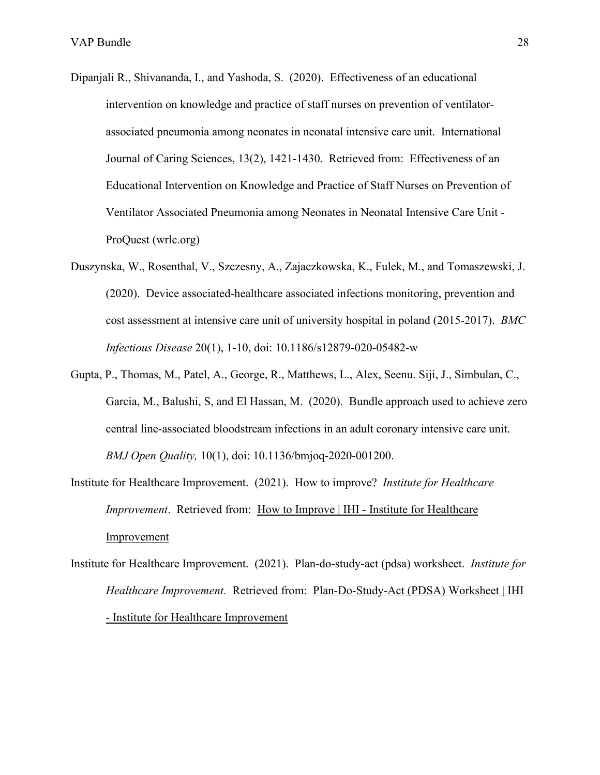- Dipanjali R., Shivananda, I., and Yashoda, S. (2020). Effectiveness of an educational intervention on knowledge and practice of staff nurses on prevention of ventilatorassociated pneumonia among neonates in neonatal intensive care unit. International Journal of Caring Sciences, 13(2), 1421-1430. Retrieved from: [Effectiveness of an](https://www-proquest-com.proxygw.wrlc.org/docview/2462488379/fulltextPDF/44132B6BA21A49BEPQ/1?accountid=11243)  [Educational Intervention on Knowledge and Practice of Staff Nurses on Prevention of](https://www-proquest-com.proxygw.wrlc.org/docview/2462488379/fulltextPDF/44132B6BA21A49BEPQ/1?accountid=11243)  [Ventilator Associated Pneumonia among Neonates in Neonatal Intensive Care Unit -](https://www-proquest-com.proxygw.wrlc.org/docview/2462488379/fulltextPDF/44132B6BA21A49BEPQ/1?accountid=11243)  [ProQuest \(wrlc.org\)](https://www-proquest-com.proxygw.wrlc.org/docview/2462488379/fulltextPDF/44132B6BA21A49BEPQ/1?accountid=11243)
- Duszynska, W., Rosenthal, V., Szczesny, A., Zajaczkowska, K., Fulek, M., and Tomaszewski, J. (2020). Device associated-healthcare associated infections monitoring, prevention and cost assessment at intensive care unit of university hospital in poland (2015-2017). *BMC Infectious Disease* 20(1), 1-10, doi: 10.1186/s12879-020-05482-w
- Gupta, P., Thomas, M., Patel, A., George, R., Matthews, L., Alex, Seenu. Siji, J., Simbulan, C., Garcia, M., Balushi, S, and El Hassan, M. (2020). Bundle approach used to achieve zero central line-associated bloodstream infections in an adult coronary intensive care unit. *BMJ Open Quality,* 10(1), doi: 10.1136/bmjoq-2020-001200.
- Institute for Healthcare Improvement. (2021). How to improve? *Institute for Healthcare Improvement*. Retrieved from: [How to Improve | IHI - Institute for Healthcare](http://www.ihi.org/resources/Pages/HowtoImprove/default.aspx#:%7E:text=IHI%20uses%20the%20Model%20for%20Improvement%20as%20the,already%20be%20using%2C%20but%20rather%20to%20accelerate%20improvement.)  [Improvement](http://www.ihi.org/resources/Pages/HowtoImprove/default.aspx#:%7E:text=IHI%20uses%20the%20Model%20for%20Improvement%20as%20the,already%20be%20using%2C%20but%20rather%20to%20accelerate%20improvement.)
- Institute for Healthcare Improvement. (2021). Plan-do-study-act (pdsa) worksheet. *Institute for Healthcare Improvement.* Retrieved from: [Plan-Do-Study-Act \(PDSA\) Worksheet | IHI](http://www.ihi.org/resources/Pages/Tools/PlanDoStudyActWorksheet.aspx)  [- Institute for Healthcare Improvement](http://www.ihi.org/resources/Pages/Tools/PlanDoStudyActWorksheet.aspx)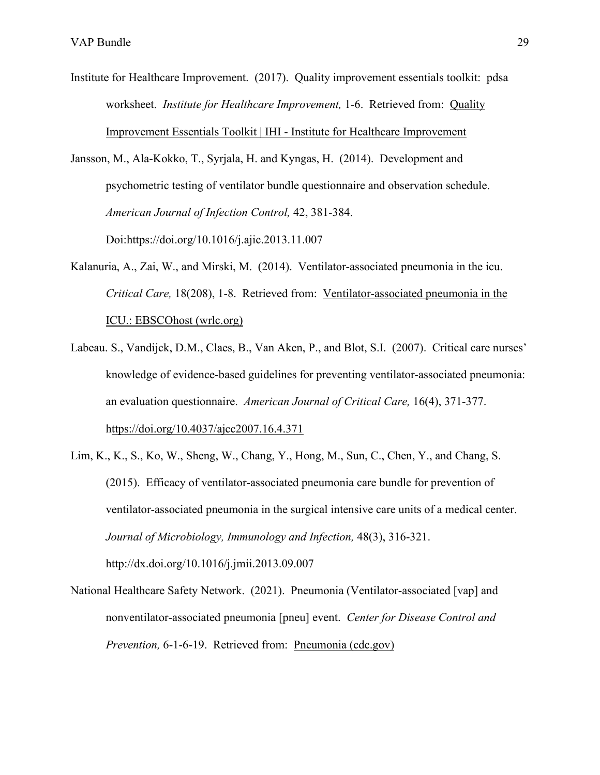- Institute for Healthcare Improvement. (2017). Quality improvement essentials toolkit: pdsa worksheet. *Institute for Healthcare Improvement,* 1-6. Retrieved from: [Quality](http://www.ihi.org/resources/Pages/Tools/Quality-Improvement-Essentials-Toolkit.aspx?utm_campaign=QI-Toolkit-Promotion&utm_medium=Whiteboard-Video&utm_source=ihi)  [Improvement Essentials Toolkit | IHI - Institute for Healthcare Improvement](http://www.ihi.org/resources/Pages/Tools/Quality-Improvement-Essentials-Toolkit.aspx?utm_campaign=QI-Toolkit-Promotion&utm_medium=Whiteboard-Video&utm_source=ihi)
- Jansson, M., Ala-Kokko, T., Syrjala, H. and Kyngas, H. (2014). Development and psychometric testing of ventilator bundle questionnaire and observation schedule. *American Journal of Infection Control,* 42, 381-384.

Doi:https://doi.org/10.1016/j.ajic.2013.11.007

- Kalanuria, A., Zai, W., and Mirski, M. (2014). Ventilator-associated pneumonia in the icu. *Critical Care,* 18(208), 1-8. Retrieved from: [Ventilator-associated pneumonia in the](http://web.b.ebscohost.com.proxygw.wrlc.org/ehost/pdfviewer/pdfviewer?vid=3&sid=1a3b9584-ac44-446e-a686-a7224c55feb7%40sessionmgr103)  [ICU.: EBSCOhost \(wrlc.org\)](http://web.b.ebscohost.com.proxygw.wrlc.org/ehost/pdfviewer/pdfviewer?vid=3&sid=1a3b9584-ac44-446e-a686-a7224c55feb7%40sessionmgr103)
- Labeau. S., Vandijck, D.M., Claes, B., Van Aken, P., and Blot, S.I. (2007). Critical care nurses' knowledge of evidence-based guidelines for preventing ventilator-associated pneumonia: an evaluation questionnaire. *American Journal of Critical Care,* 16(4), 371-377. <https://doi.org/10.4037/ajcc2007.16.4.371>
- Lim, K., K., S., Ko, W., Sheng, W., Chang, Y., Hong, M., Sun, C., Chen, Y., and Chang, S. (2015). Efficacy of ventilator-associated pneumonia care bundle for prevention of ventilator-associated pneumonia in the surgical intensive care units of a medical center. *Journal of Microbiology, Immunology and Infection,* 48(3), 316-321. http://dx.doi.org/10.1016/j.jmii.2013.09.007
- National Healthcare Safety Network. (2021). Pneumonia (Ventilator-associated [vap] and nonventilator-associated pneumonia [pneu] event. *Center for Disease Control and Prevention,* 6-1-6-19. Retrieved from: [Pneumonia \(cdc.gov\)](https://www.cdc.gov/nhsn/pdfs/pscmanual/6pscvapcurrent.pdf)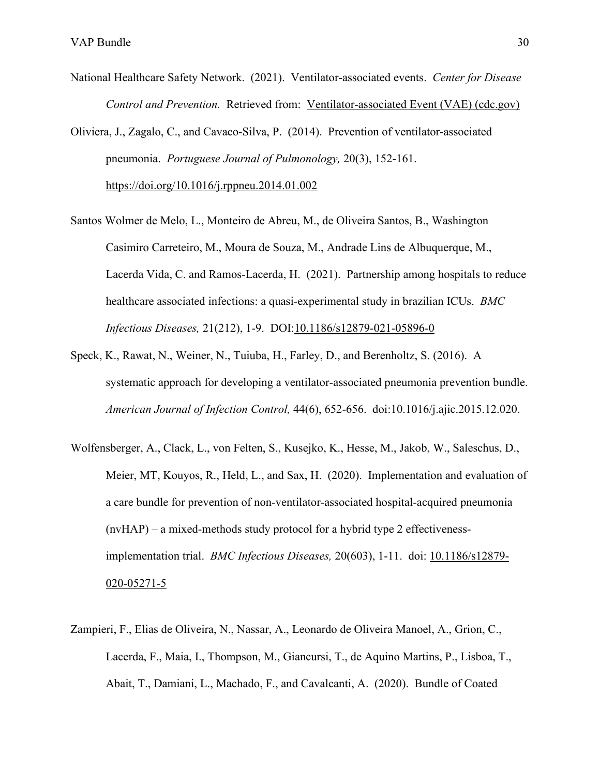- National Healthcare Safety Network. (2021). Ventilator-associated events. *Center for Disease Control and Prevention.* Retrieved from: [Ventilator-associated Event \(VAE\) \(cdc.gov\)](https://www.cdc.gov/nhsn/pdfs/pscmanual/10-vae_final.pdf)
- Oliviera, J., Zagalo, C., and Cavaco-Silva, P. (2014). Prevention of ventilator-associated pneumonia. *Portuguese Journal of Pulmonology,* 20(3), 152-161.

<https://doi.org/10.1016/j.rppneu.2014.01.002>

- Santos Wolmer de Melo, L., Monteiro de Abreu, M., de Oliveira Santos, B., Washington Casimiro Carreteiro, M., Moura de Souza, M., Andrade Lins de Albuquerque, M., Lacerda Vida, C. and Ramos-Lacerda, H. (2021). Partnership among hospitals to reduce healthcare associated infections: a quasi-experimental study in brazilian ICUs. *BMC Infectious Diseases,* 21(212), 1-9. DOI[:10.1186/s12879-021-05896-0](https://bmcinfectdis.biomedcentral.com/articles/10.1186/s12879-021-05896-0)
- Speck, K., Rawat, N., Weiner, N., Tuiuba, H., Farley, D., and Berenholtz, S. (2016). A systematic approach for developing a ventilator-associated pneumonia prevention bundle. *American Journal of Infection Control,* 44(6), 652-656. doi:10.1016/j.ajic.2015.12.020.
- Wolfensberger, A., Clack, L., von Felten, S., Kusejko, K., Hesse, M., Jakob, W., Saleschus, D., Meier, MT, Kouyos, R., Held, L., and Sax, H. (2020). Implementation and evaluation of a care bundle for prevention of non-ventilator-associated hospital-acquired pneumonia (nvHAP) – a mixed-methods study protocol for a hybrid type 2 effectivenessimplementation trial. *BMC Infectious Diseases,* 20(603), 1-11. doi: [10.1186/s12879-](https://dx.doi.org/10.1186%2Fs12879-020-05271-5) [020-05271-5](https://dx.doi.org/10.1186%2Fs12879-020-05271-5)
- Zampieri, F., Elias de Oliveira, N., Nassar, A., Leonardo de Oliveira Manoel, A., Grion, C., Lacerda, F., Maia, I., Thompson, M., Giancursi, T., de Aquino Martins, P., Lisboa, T., Abait, T., Damiani, L., Machado, F., and Cavalcanti, A. (2020). Bundle of Coated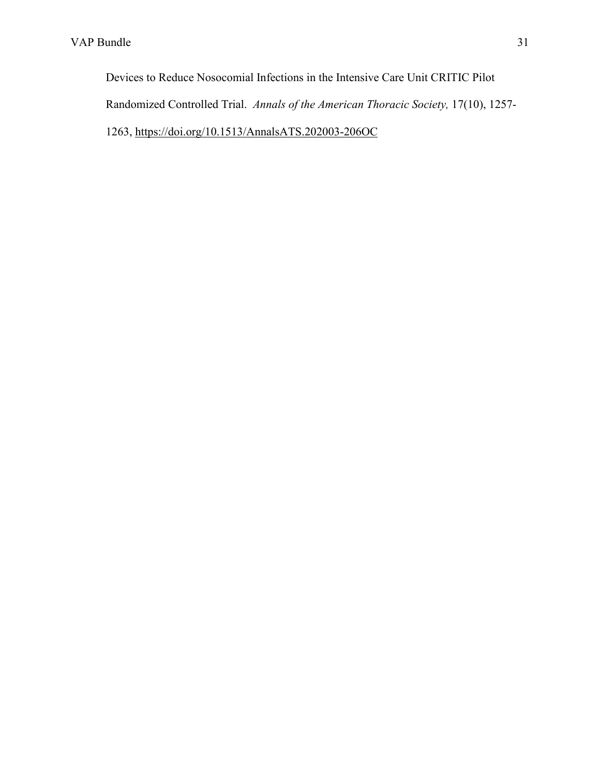Devices to Reduce Nosocomial Infections in the Intensive Care Unit CRITIC Pilot Randomized Controlled Trial. *Annals of the American Thoracic Society,* 17(10), 1257- 1263,<https://doi.org/10.1513/AnnalsATS.202003-206OC>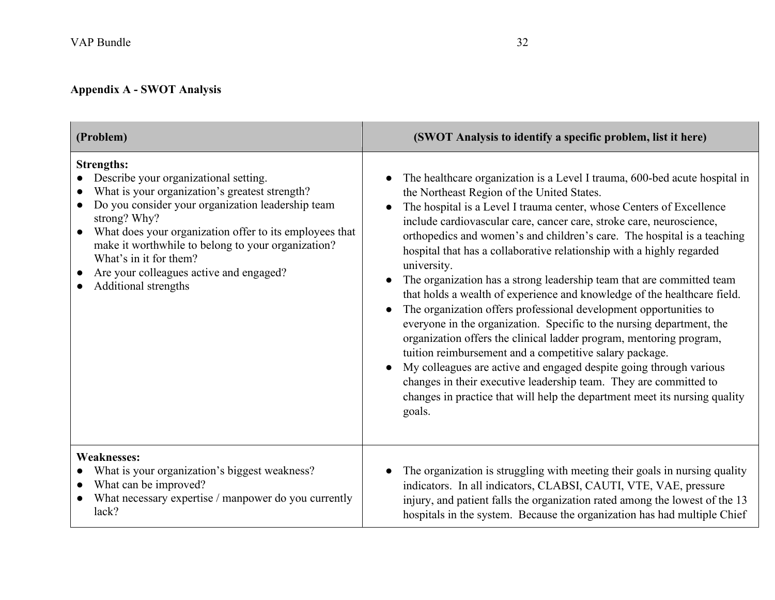# **Appendix A - SWOT Analysis**

| (Problem)                                                                                                                                                                                                                                                                                                                                                                                                    | (SWOT Analysis to identify a specific problem, list it here)                                                                                                                                                                                                                                                                                                                                                                                                                                                                                                                                                                                                                                                                                                                                                                                                                                                                                                                                                                                                                                                                     |
|--------------------------------------------------------------------------------------------------------------------------------------------------------------------------------------------------------------------------------------------------------------------------------------------------------------------------------------------------------------------------------------------------------------|----------------------------------------------------------------------------------------------------------------------------------------------------------------------------------------------------------------------------------------------------------------------------------------------------------------------------------------------------------------------------------------------------------------------------------------------------------------------------------------------------------------------------------------------------------------------------------------------------------------------------------------------------------------------------------------------------------------------------------------------------------------------------------------------------------------------------------------------------------------------------------------------------------------------------------------------------------------------------------------------------------------------------------------------------------------------------------------------------------------------------------|
| <b>Strengths:</b><br>Describe your organizational setting.<br>What is your organization's greatest strength?<br>Do you consider your organization leadership team<br>strong? Why?<br>What does your organization offer to its employees that<br>$\bullet$<br>make it worthwhile to belong to your organization?<br>What's in it for them?<br>Are your colleagues active and engaged?<br>Additional strengths | The healthcare organization is a Level I trauma, 600-bed acute hospital in<br>the Northeast Region of the United States.<br>The hospital is a Level I trauma center, whose Centers of Excellence<br>include cardiovascular care, cancer care, stroke care, neuroscience,<br>orthopedics and women's and children's care. The hospital is a teaching<br>hospital that has a collaborative relationship with a highly regarded<br>university.<br>The organization has a strong leadership team that are committed team<br>that holds a wealth of experience and knowledge of the healthcare field.<br>The organization offers professional development opportunities to<br>$\bullet$<br>everyone in the organization. Specific to the nursing department, the<br>organization offers the clinical ladder program, mentoring program,<br>tuition reimbursement and a competitive salary package.<br>My colleagues are active and engaged despite going through various<br>changes in their executive leadership team. They are committed to<br>changes in practice that will help the department meet its nursing quality<br>goals. |
| <b>Weaknesses:</b><br>What is your organization's biggest weakness?<br>What can be improved?<br>What necessary expertise / manpower do you currently<br>lack?                                                                                                                                                                                                                                                | The organization is struggling with meeting their goals in nursing quality<br>indicators. In all indicators, CLABSI, CAUTI, VTE, VAE, pressure<br>injury, and patient falls the organization rated among the lowest of the 13<br>hospitals in the system. Because the organization has had multiple Chief                                                                                                                                                                                                                                                                                                                                                                                                                                                                                                                                                                                                                                                                                                                                                                                                                        |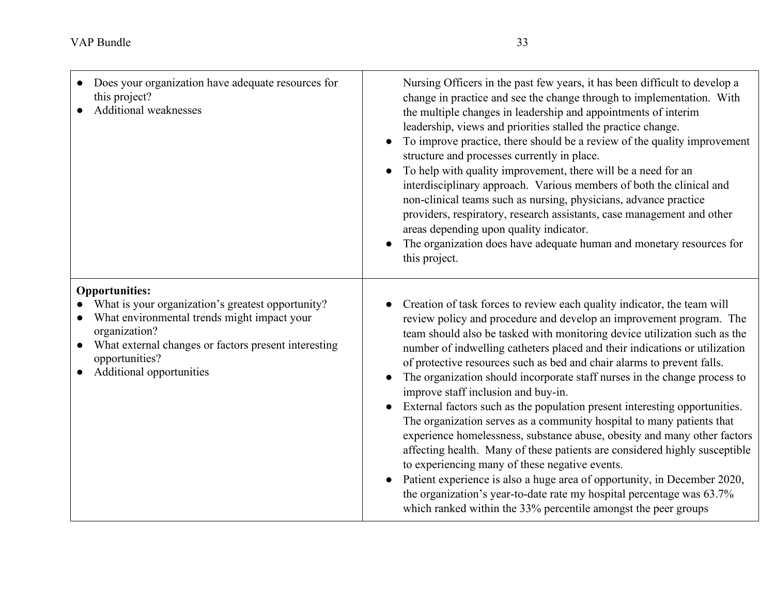| Does your organization have adequate resources for<br>this project?<br>Additional weaknesses                                                                                                                                                                  | Nursing Officers in the past few years, it has been difficult to develop a<br>change in practice and see the change through to implementation. With<br>the multiple changes in leadership and appointments of interim<br>leadership, views and priorities stalled the practice change.<br>To improve practice, there should be a review of the quality improvement<br>structure and processes currently in place.<br>To help with quality improvement, there will be a need for an<br>interdisciplinary approach. Various members of both the clinical and<br>non-clinical teams such as nursing, physicians, advance practice<br>providers, respiratory, research assistants, case management and other<br>areas depending upon quality indicator.<br>The organization does have adequate human and monetary resources for<br>this project.                                                                                                                                                                                                                                                      |
|---------------------------------------------------------------------------------------------------------------------------------------------------------------------------------------------------------------------------------------------------------------|---------------------------------------------------------------------------------------------------------------------------------------------------------------------------------------------------------------------------------------------------------------------------------------------------------------------------------------------------------------------------------------------------------------------------------------------------------------------------------------------------------------------------------------------------------------------------------------------------------------------------------------------------------------------------------------------------------------------------------------------------------------------------------------------------------------------------------------------------------------------------------------------------------------------------------------------------------------------------------------------------------------------------------------------------------------------------------------------------|
| <b>Opportunities:</b><br>What is your organization's greatest opportunity?<br>What environmental trends might impact your<br>organization?<br>What external changes or factors present interesting<br>$\bullet$<br>opportunities?<br>Additional opportunities | Creation of task forces to review each quality indicator, the team will<br>review policy and procedure and develop an improvement program. The<br>team should also be tasked with monitoring device utilization such as the<br>number of indwelling catheters placed and their indications or utilization<br>of protective resources such as bed and chair alarms to prevent falls.<br>The organization should incorporate staff nurses in the change process to<br>improve staff inclusion and buy-in.<br>External factors such as the population present interesting opportunities.<br>The organization serves as a community hospital to many patients that<br>experience homelessness, substance abuse, obesity and many other factors<br>affecting health. Many of these patients are considered highly susceptible<br>to experiencing many of these negative events.<br>Patient experience is also a huge area of opportunity, in December 2020,<br>the organization's year-to-date rate my hospital percentage was 63.7%<br>which ranked within the 33% percentile amongst the peer groups |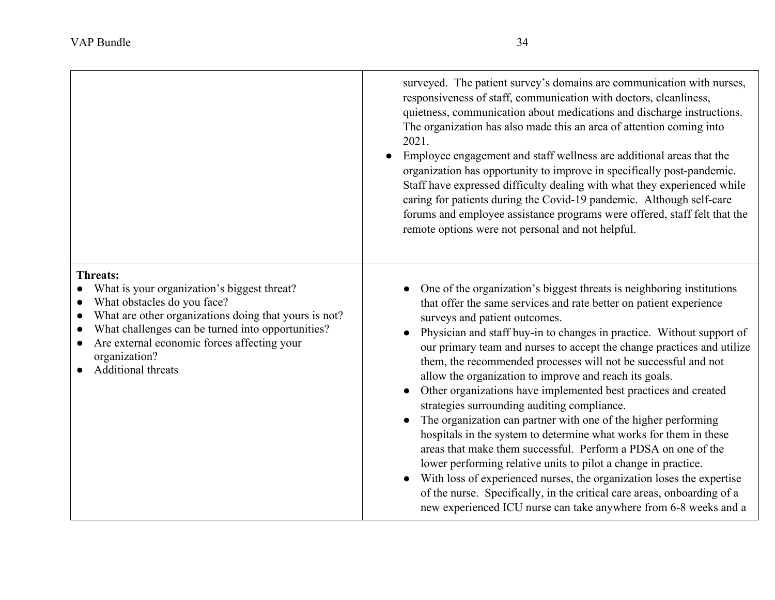|                                                                                                                                                                                                                                                                                                   | surveyed. The patient survey's domains are communication with nurses,<br>responsiveness of staff, communication with doctors, cleanliness,<br>quietness, communication about medications and discharge instructions.<br>The organization has also made this an area of attention coming into<br>2021.<br>Employee engagement and staff wellness are additional areas that the<br>organization has opportunity to improve in specifically post-pandemic.<br>Staff have expressed difficulty dealing with what they experienced while<br>caring for patients during the Covid-19 pandemic. Although self-care<br>forums and employee assistance programs were offered, staff felt that the<br>remote options were not personal and not helpful.                                                                                                                                                                                                                                                                                                                                                |
|---------------------------------------------------------------------------------------------------------------------------------------------------------------------------------------------------------------------------------------------------------------------------------------------------|----------------------------------------------------------------------------------------------------------------------------------------------------------------------------------------------------------------------------------------------------------------------------------------------------------------------------------------------------------------------------------------------------------------------------------------------------------------------------------------------------------------------------------------------------------------------------------------------------------------------------------------------------------------------------------------------------------------------------------------------------------------------------------------------------------------------------------------------------------------------------------------------------------------------------------------------------------------------------------------------------------------------------------------------------------------------------------------------|
| Threats:<br>What is your organization's biggest threat?<br>What obstacles do you face?<br>What are other organizations doing that yours is not?<br>What challenges can be turned into opportunities?<br>Are external economic forces affecting your<br>organization?<br><b>Additional threats</b> | One of the organization's biggest threats is neighboring institutions<br>that offer the same services and rate better on patient experience<br>surveys and patient outcomes.<br>Physician and staff buy-in to changes in practice. Without support of<br>$\bullet$<br>our primary team and nurses to accept the change practices and utilize<br>them, the recommended processes will not be successful and not<br>allow the organization to improve and reach its goals.<br>Other organizations have implemented best practices and created<br>strategies surrounding auditing compliance.<br>The organization can partner with one of the higher performing<br>hospitals in the system to determine what works for them in these<br>areas that make them successful. Perform a PDSA on one of the<br>lower performing relative units to pilot a change in practice.<br>With loss of experienced nurses, the organization loses the expertise<br>of the nurse. Specifically, in the critical care areas, onboarding of a<br>new experienced ICU nurse can take anywhere from 6-8 weeks and a |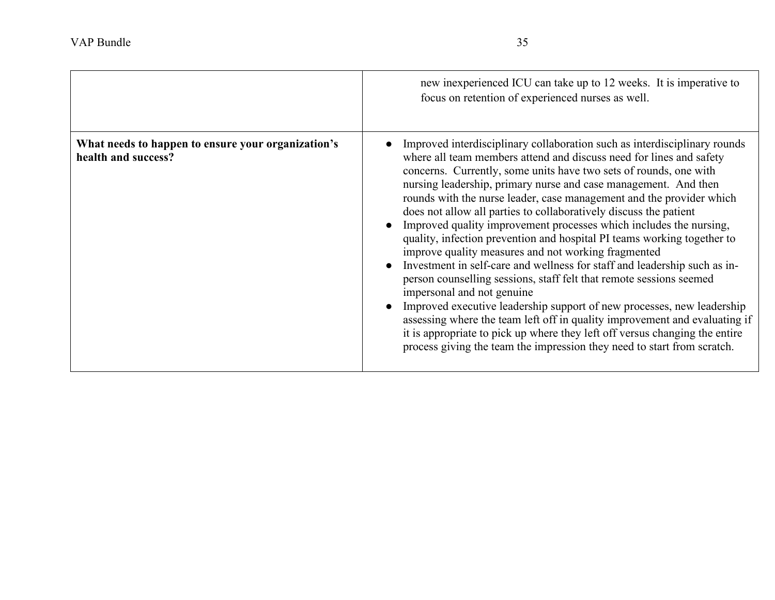|                                                                           | new inexperienced ICU can take up to 12 weeks. It is imperative to<br>focus on retention of experienced nurses as well.                                                                                                                                                                                                                                                                                                                                                                                                                                                                                                                                                                                                                                                                                                                                                                                                                                                                                                                                                                                                                           |
|---------------------------------------------------------------------------|---------------------------------------------------------------------------------------------------------------------------------------------------------------------------------------------------------------------------------------------------------------------------------------------------------------------------------------------------------------------------------------------------------------------------------------------------------------------------------------------------------------------------------------------------------------------------------------------------------------------------------------------------------------------------------------------------------------------------------------------------------------------------------------------------------------------------------------------------------------------------------------------------------------------------------------------------------------------------------------------------------------------------------------------------------------------------------------------------------------------------------------------------|
| What needs to happen to ensure your organization's<br>health and success? | Improved interdisciplinary collaboration such as interdisciplinary rounds<br>where all team members attend and discuss need for lines and safety<br>concerns. Currently, some units have two sets of rounds, one with<br>nursing leadership, primary nurse and case management. And then<br>rounds with the nurse leader, case management and the provider which<br>does not allow all parties to collaboratively discuss the patient<br>Improved quality improvement processes which includes the nursing,<br>quality, infection prevention and hospital PI teams working together to<br>improve quality measures and not working fragmented<br>Investment in self-care and wellness for staff and leadership such as in-<br>person counselling sessions, staff felt that remote sessions seemed<br>impersonal and not genuine<br>Improved executive leadership support of new processes, new leadership<br>assessing where the team left off in quality improvement and evaluating if<br>it is appropriate to pick up where they left off versus changing the entire<br>process giving the team the impression they need to start from scratch. |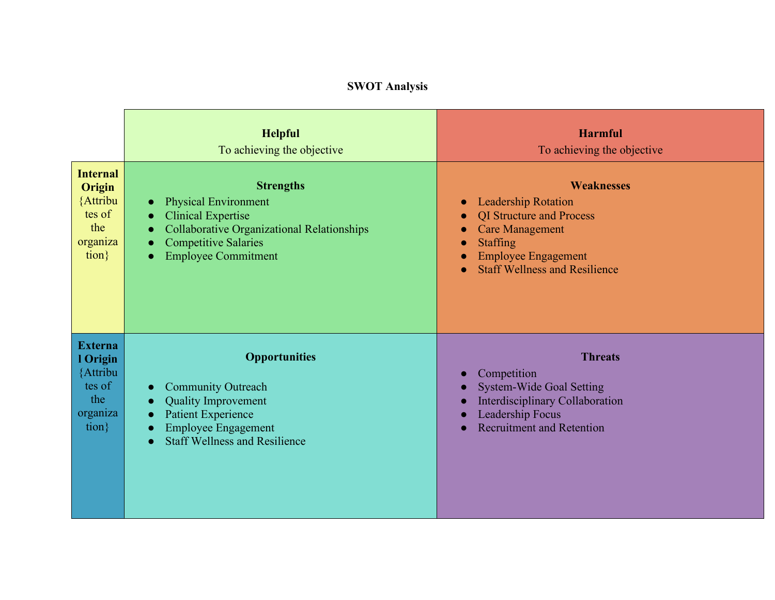# **SWOT Analysis**

|                                                                                   | <b>Helpful</b><br>To achieving the objective                                                                                                                                                                                   | <b>Harmful</b><br>To achieving the objective                                                                                                                                                                                                                                         |
|-----------------------------------------------------------------------------------|--------------------------------------------------------------------------------------------------------------------------------------------------------------------------------------------------------------------------------|--------------------------------------------------------------------------------------------------------------------------------------------------------------------------------------------------------------------------------------------------------------------------------------|
| <b>Internal</b><br>Origin<br>{Attribu<br>tes of<br>the<br>organiza<br>$\{tion\}$  | <b>Strengths</b><br><b>Physical Environment</b><br>$\bullet$<br><b>Clinical Expertise</b><br>$\bullet$<br><b>Collaborative Organizational Relationships</b><br>Competitive Salaries<br>$\bullet$<br><b>Employee Commitment</b> | <b>Weaknesses</b><br><b>Leadership Rotation</b><br>$\bullet$<br><b>QI</b> Structure and Process<br>$\bullet$<br><b>Care Management</b><br>$\bullet$<br><b>Staffing</b><br>$\bullet$<br><b>Employee Engagement</b><br>$\epsilon$<br><b>Staff Wellness and Resilience</b><br>$\bullet$ |
| <b>Externa</b><br>1 Origin<br>{Attribu<br>tes of<br>the<br>organiza<br>$\{tion\}$ | <b>Opportunities</b><br><b>Community Outreach</b><br><b>Quality Improvement</b><br><b>Patient Experience</b><br>$\bullet$<br><b>Employee Engagement</b><br><b>Staff Wellness and Resilience</b>                                | <b>Threats</b><br>Competition<br>$\bullet$<br><b>System-Wide Goal Setting</b><br><b>Interdisciplinary Collaboration</b><br>Leadership Focus<br><b>Recruitment and Retention</b>                                                                                                      |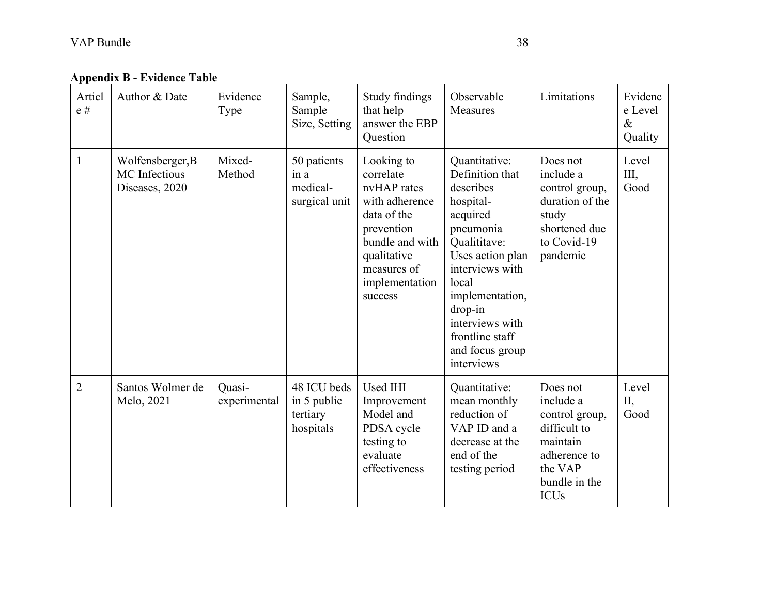**Appendix B - Evidence Table**

| Articl<br>e#   | Author & Date                                       | Evidence<br>Type       | Sample,<br>Sample<br>Size, Setting                  | Study findings<br>that help<br>answer the EBP<br>Question                                                                                                           | Observable<br><b>Measures</b>                                                                                                                                                                                                                            | Limitations                                                                                                                    | Evidenc<br>e Level<br>$\&$<br>Quality |
|----------------|-----------------------------------------------------|------------------------|-----------------------------------------------------|---------------------------------------------------------------------------------------------------------------------------------------------------------------------|----------------------------------------------------------------------------------------------------------------------------------------------------------------------------------------------------------------------------------------------------------|--------------------------------------------------------------------------------------------------------------------------------|---------------------------------------|
| 1              | Wolfensberger, B<br>MC Infectious<br>Diseases, 2020 | Mixed-<br>Method       | 50 patients<br>in a<br>medical-<br>surgical unit    | Looking to<br>correlate<br>nvHAP rates<br>with adherence<br>data of the<br>prevention<br>bundle and with<br>qualitative<br>measures of<br>implementation<br>success | Quantitative:<br>Definition that<br>describes<br>hospital-<br>acquired<br>pneumonia<br>Qualititave:<br>Uses action plan<br>interviews with<br>local<br>implementation,<br>drop-in<br>interviews with<br>frontline staff<br>and focus group<br>interviews | Does not<br>include a<br>control group,<br>duration of the<br>study<br>shortened due<br>to Covid-19<br>pandemic                | Level<br>Ш,<br>Good                   |
| $\overline{2}$ | Santos Wolmer de<br>Melo, 2021                      | Quasi-<br>experimental | 48 ICU beds<br>in 5 public<br>tertiary<br>hospitals | Used IHI<br>Improvement<br>Model and<br>PDSA cycle<br>testing to<br>evaluate<br>effectiveness                                                                       | Quantitative:<br>mean monthly<br>reduction of<br>VAP ID and a<br>decrease at the<br>end of the<br>testing period                                                                                                                                         | Does not<br>include a<br>control group,<br>difficult to<br>maintain<br>adherence to<br>the VAP<br>bundle in the<br><b>ICUs</b> | Level<br>II,<br>Good                  |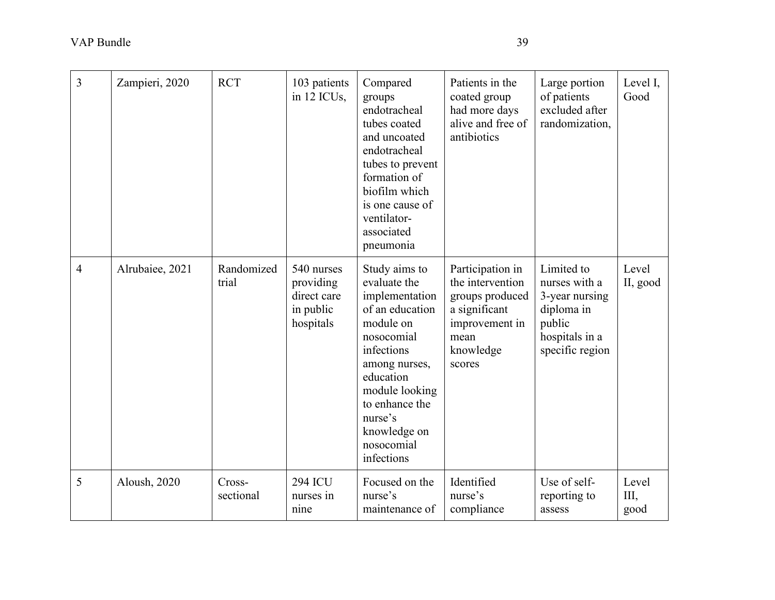| 3              | Zampieri, 2020  | <b>RCT</b>          | 103 patients<br>in 12 ICUs,                                      | Compared<br>groups<br>endotracheal<br>tubes coated<br>and uncoated<br>endotracheal<br>tubes to prevent<br>formation of<br>biofilm which<br>is one cause of<br>ventilator-<br>associated<br>pneumonia                                 | Patients in the<br>coated group<br>had more days<br>alive and free of<br>antibiotics                                      | Large portion<br>of patients<br>excluded after<br>randomization,                                           | Level I,<br>Good    |
|----------------|-----------------|---------------------|------------------------------------------------------------------|--------------------------------------------------------------------------------------------------------------------------------------------------------------------------------------------------------------------------------------|---------------------------------------------------------------------------------------------------------------------------|------------------------------------------------------------------------------------------------------------|---------------------|
| $\overline{4}$ | Alrubaiee, 2021 | Randomized<br>trial | 540 nurses<br>providing<br>direct care<br>in public<br>hospitals | Study aims to<br>evaluate the<br>implementation<br>of an education<br>module on<br>nosocomial<br>infections<br>among nurses,<br>education<br>module looking<br>to enhance the<br>nurse's<br>knowledge on<br>nosocomial<br>infections | Participation in<br>the intervention<br>groups produced<br>a significant<br>improvement in<br>mean<br>knowledge<br>scores | Limited to<br>nurses with a<br>3-year nursing<br>diploma in<br>public<br>hospitals in a<br>specific region | Level<br>II, good   |
| 5              | Aloush, 2020    | Cross-<br>sectional | <b>294 ICU</b><br>nurses in<br>nine                              | Focused on the<br>nurse's<br>maintenance of                                                                                                                                                                                          | Identified<br>nurse's<br>compliance                                                                                       | Use of self-<br>reporting to<br>assess                                                                     | Level<br>Ш,<br>good |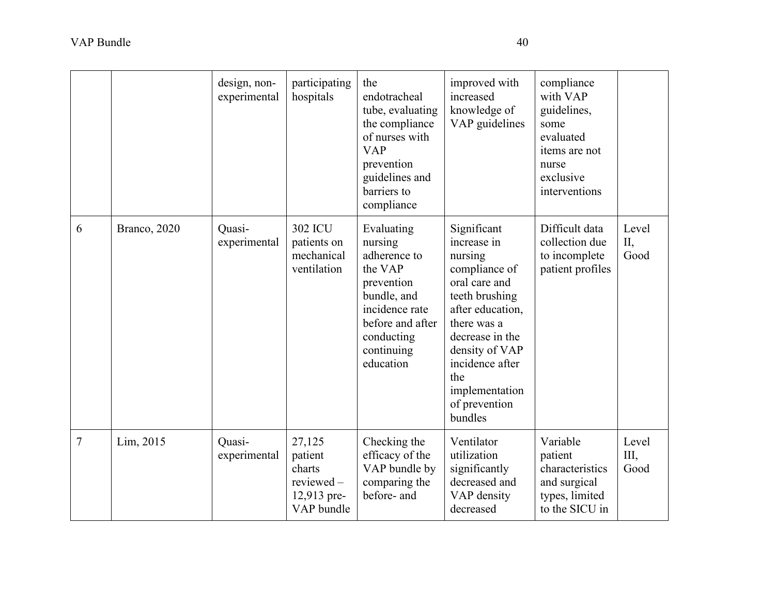|                |              | design, non-<br>experimental | participating<br>hospitals                                            | the<br>endotracheal<br>tube, evaluating<br>the compliance<br>of nurses with<br><b>VAP</b><br>prevention<br>guidelines and<br>barriers to<br>compliance       | improved with<br>increased<br>knowledge of<br>VAP guidelines                                                                                                                                                                              | compliance<br>with VAP<br>guidelines,<br>some<br>evaluated<br>items are not<br>nurse<br>exclusive<br>interventions |                      |
|----------------|--------------|------------------------------|-----------------------------------------------------------------------|--------------------------------------------------------------------------------------------------------------------------------------------------------------|-------------------------------------------------------------------------------------------------------------------------------------------------------------------------------------------------------------------------------------------|--------------------------------------------------------------------------------------------------------------------|----------------------|
| 6              | Branco, 2020 | Quasi-<br>experimental       | <b>302 ICU</b><br>patients on<br>mechanical<br>ventilation            | Evaluating<br>nursing<br>adherence to<br>the VAP<br>prevention<br>bundle, and<br>incidence rate<br>before and after<br>conducting<br>continuing<br>education | Significant<br>increase in<br>nursing<br>compliance of<br>oral care and<br>teeth brushing<br>after education,<br>there was a<br>decrease in the<br>density of VAP<br>incidence after<br>the<br>implementation<br>of prevention<br>bundles | Difficult data<br>collection due<br>to incomplete<br>patient profiles                                              | Level<br>II,<br>Good |
| $\overline{7}$ | Lim, 2015    | Quasi-<br>experimental       | 27,125<br>patient<br>charts<br>reviewed-<br>12,913 pre-<br>VAP bundle | Checking the<br>efficacy of the<br>VAP bundle by<br>comparing the<br>before- and                                                                             | Ventilator<br>utilization<br>significantly<br>decreased and<br>VAP density<br>decreased                                                                                                                                                   | Variable<br>patient<br>characteristics<br>and surgical<br>types, limited<br>to the SICU in                         | Level<br>Ш,<br>Good  |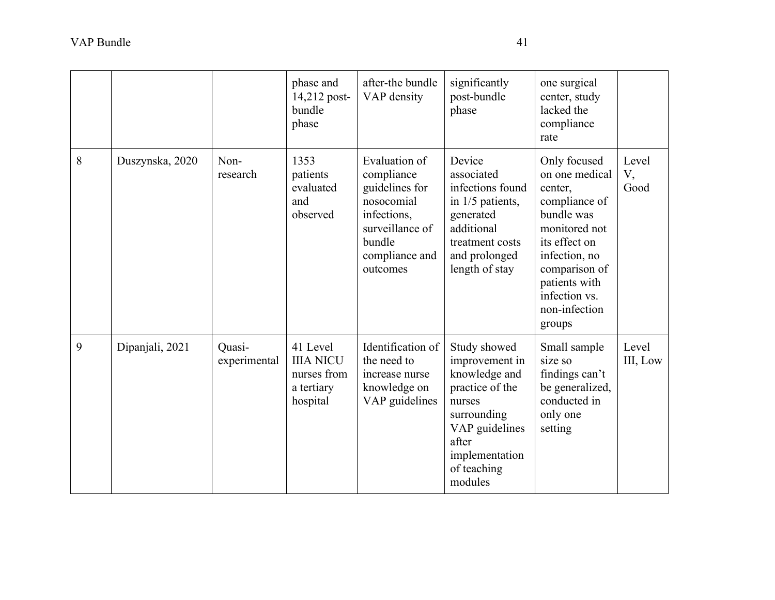|   |                 |                        | phase and<br>14,212 post-<br>bundle<br>phase                          | after-the bundle<br>VAP density                                                                                                       | significantly<br>post-bundle<br>phase                                                                                                                              | one surgical<br>center, study<br>lacked the<br>compliance<br>rate                                                                                                                                         |                     |
|---|-----------------|------------------------|-----------------------------------------------------------------------|---------------------------------------------------------------------------------------------------------------------------------------|--------------------------------------------------------------------------------------------------------------------------------------------------------------------|-----------------------------------------------------------------------------------------------------------------------------------------------------------------------------------------------------------|---------------------|
| 8 | Duszynska, 2020 | Non-<br>research       | 1353<br>patients<br>evaluated<br>and<br>observed                      | Evaluation of<br>compliance<br>guidelines for<br>nosocomial<br>infections,<br>surveillance of<br>bundle<br>compliance and<br>outcomes | Device<br>associated<br>infections found<br>in 1/5 patients,<br>generated<br>additional<br>treatment costs<br>and prolonged<br>length of stay                      | Only focused<br>on one medical<br>center,<br>compliance of<br>bundle was<br>monitored not<br>its effect on<br>infection, no<br>comparison of<br>patients with<br>infection vs.<br>non-infection<br>groups | Level<br>V,<br>Good |
| 9 | Dipanjali, 2021 | Quasi-<br>experimental | 41 Level<br><b>IIIA NICU</b><br>nurses from<br>a tertiary<br>hospital | Identification of<br>the need to<br>increase nurse<br>knowledge on<br>VAP guidelines                                                  | Study showed<br>improvement in<br>knowledge and<br>practice of the<br>nurses<br>surrounding<br>VAP guidelines<br>after<br>implementation<br>of teaching<br>modules | Small sample<br>size so<br>findings can't<br>be generalized,<br>conducted in<br>only one<br>setting                                                                                                       | Level<br>III, Low   |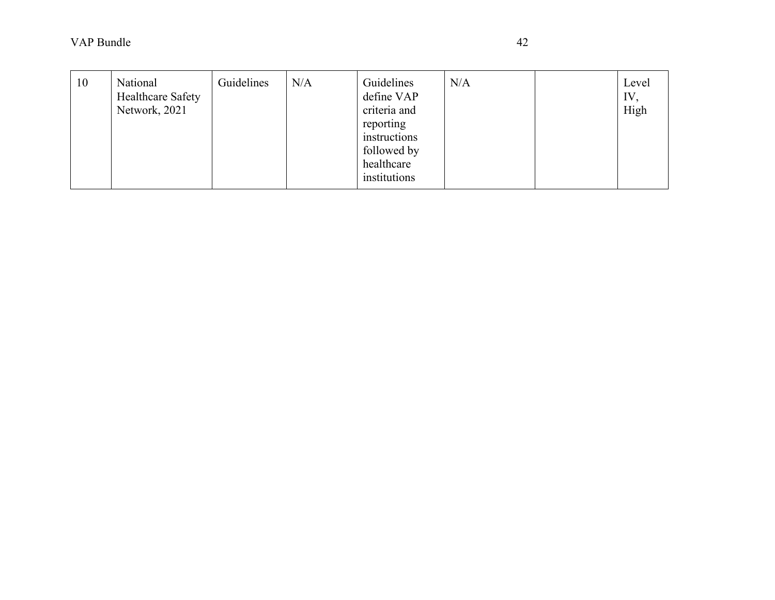| 10 | National<br><b>Healthcare Safety</b><br>Network, 2021 | Guidelines | N/A | Guidelines<br>define VAP<br>criteria and<br>reporting<br>instructions<br>followed by<br>healthcare | N/A | Level<br>IV,<br>High |
|----|-------------------------------------------------------|------------|-----|----------------------------------------------------------------------------------------------------|-----|----------------------|
|    |                                                       |            |     | institutions                                                                                       |     |                      |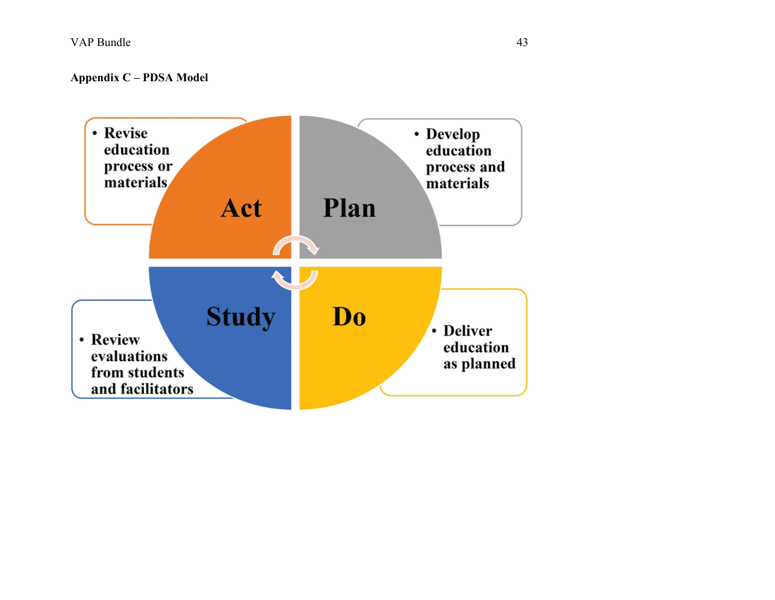**Appendix C – PDSA Model**

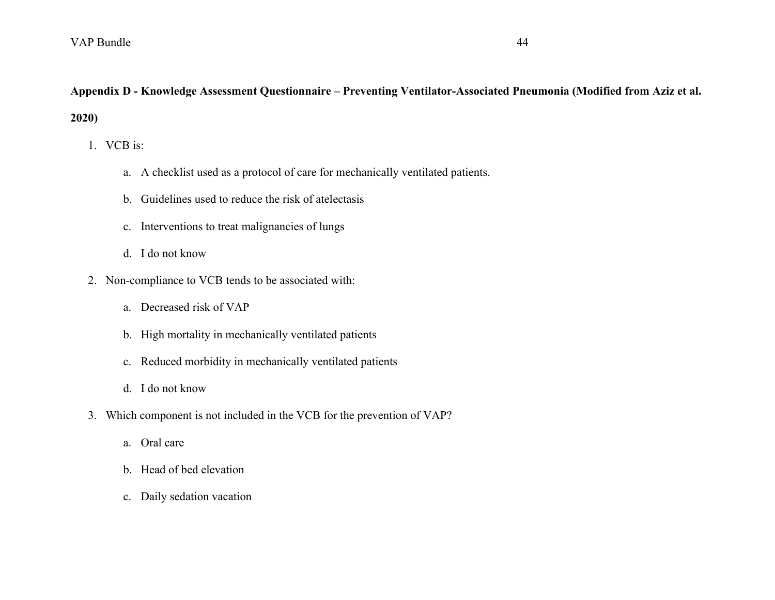# **Appendix D - Knowledge Assessment Questionnaire – Preventing Ventilator-Associated Pneumonia (Modified from Aziz et al. 2020)**

1. VCB is:

- a. A checklist used as a protocol of care for mechanically ventilated patients.
- b. Guidelines used to reduce the risk of atelectasis
- c. Interventions to treat malignancies of lungs
- d. I do not know
- 2. Non-compliance to VCB tends to be associated with:
	- a. Decreased risk of VAP
	- b. High mortality in mechanically ventilated patients
	- c. Reduced morbidity in mechanically ventilated patients
	- d. I do not know
- 3. Which component is not included in the VCB for the prevention of VAP?
	- a. Oral care
	- b. Head of bed elevation
	- c. Daily sedation vacation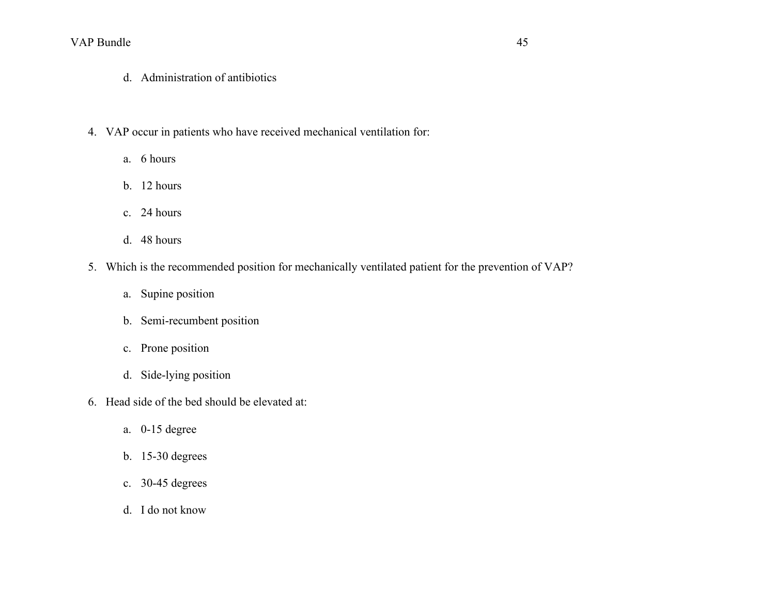- d. Administration of antibiotics
- 4. VAP occur in patients who have received mechanical ventilation for:
	- a. 6 hours
	- b. 12 hours
	- c. 24 hours
	- d. 48 hours
- 5. Which is the recommended position for mechanically ventilated patient for the prevention of VAP?
	- a. Supine position
	- b. Semi-recumbent position
	- c. Prone position
	- d. Side-lying position
- 6. Head side of the bed should be elevated at:
	- a. 0-15 degree
	- b. 15-30 degrees
	- c. 30-45 degrees
	- d. I do not know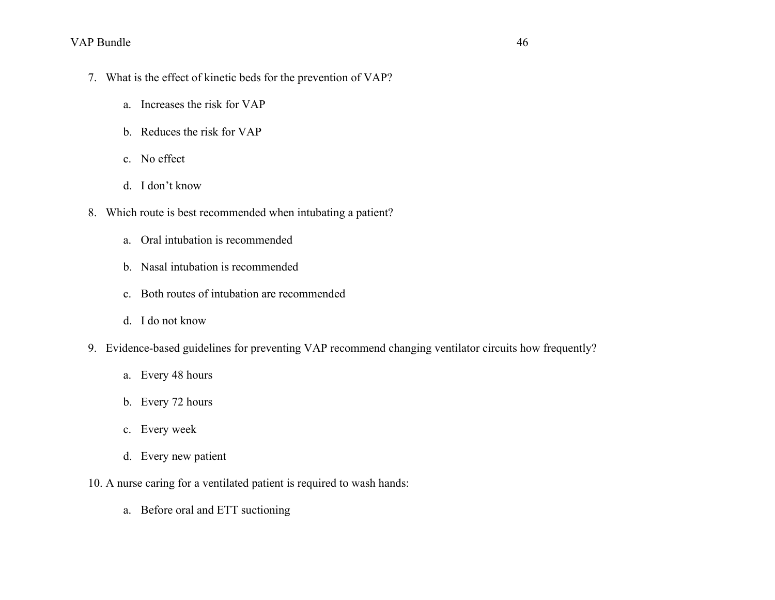- 7. What is the effect of kinetic beds for the prevention of VAP?
	- a. Increases the risk for VAP
	- b. Reduces the risk for VAP
	- c. No effect
	- d. I don't know
- 8. Which route is best recommended when intubating a patient?
	- a. Oral intubation is recommended
	- b. Nasal intubation is recommended
	- c. Both routes of intubation are recommended
	- d. I do not know
- 9. Evidence-based guidelines for preventing VAP recommend changing ventilator circuits how frequently?
	- a. Every 48 hours
	- b. Every 72 hours
	- c. Every week
	- d. Every new patient
- 10. A nurse caring for a ventilated patient is required to wash hands:
	- a. Before oral and ETT suctioning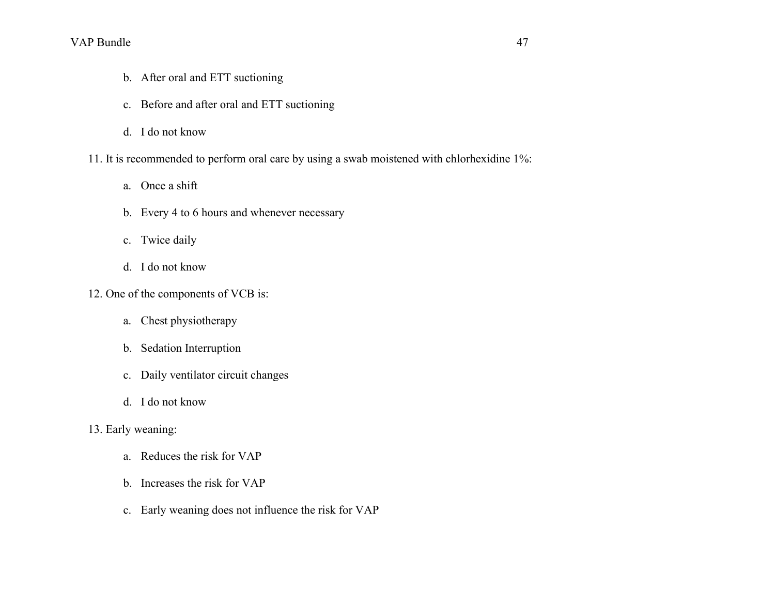- b. After oral and ETT suctioning
- c. Before and after oral and ETT suctioning
- d. I do not know
- 11. It is recommended to perform oral care by using a swab moistened with chlorhexidine 1%:
	- a. Once a shift
	- b. Every 4 to 6 hours and whenever necessary
	- c. Twice daily
	- d. I do not know
- 12. One of the components of VCB is:
	- a. Chest physiotherapy
	- b. Sedation Interruption
	- c. Daily ventilator circuit changes
	- d. I do not know
- 13. Early weaning:
	- a. Reduces the risk for VAP
	- b. Increases the risk for VAP
	- c. Early weaning does not influence the risk for VAP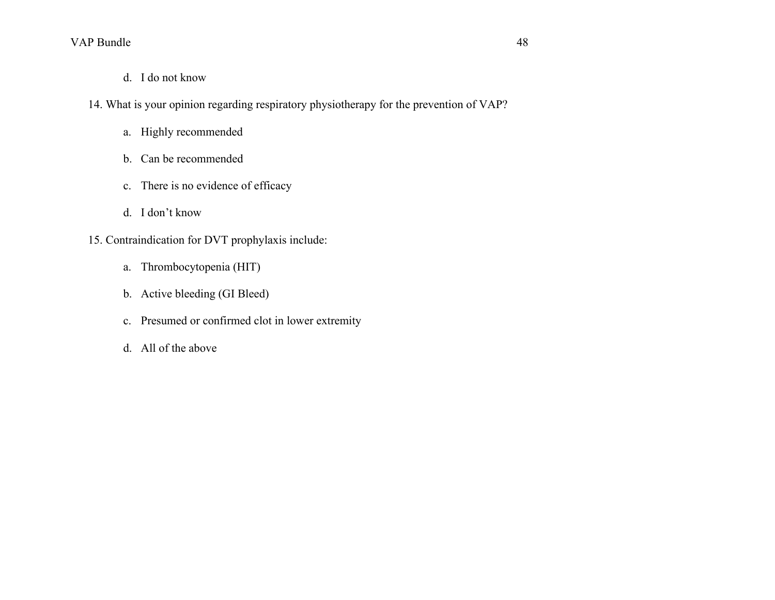- d. I do not know
- 14. What is your opinion regarding respiratory physiotherapy for the prevention of VAP?
	- a. Highly recommended
	- b. Can be recommended
	- c. There is no evidence of efficacy
	- d. I don't know
- 15. Contraindication for DVT prophylaxis include:
	- a. Thrombocytopenia (HIT)
	- b. Active bleeding (GI Bleed)
	- c. Presumed or confirmed clot in lower extremity
	- d. All of the above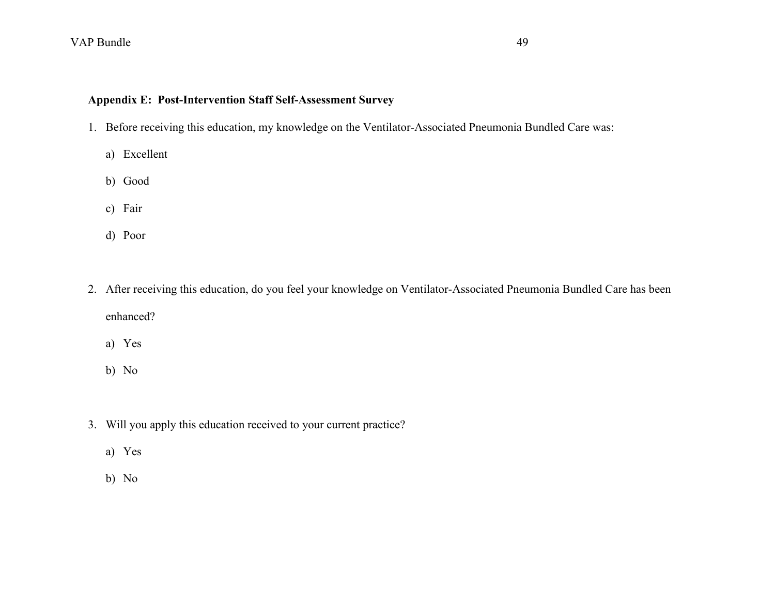## **Appendix E: Post-Intervention Staff Self-Assessment Survey**

- 1. Before receiving this education, my knowledge on the Ventilator-Associated Pneumonia Bundled Care was:
	- a) Excellent
	- b) Good
	- c) Fair
	- d) Poor
- 2. After receiving this education, do you feel your knowledge on Ventilator-Associated Pneumonia Bundled Care has been enhanced?
	- a) Yes
	- b) No
- 3. Will you apply this education received to your current practice?
	- a) Yes
	- b) No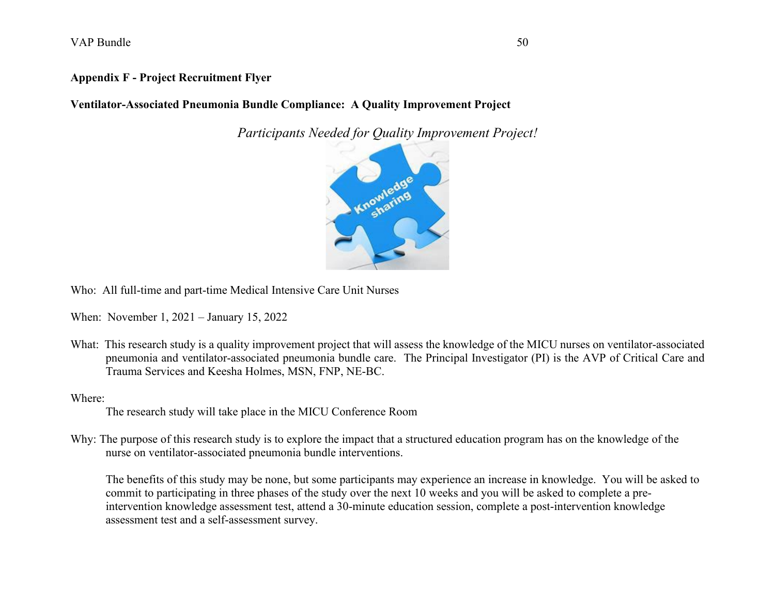### **Appendix F - Project Recruitment Flyer**

**Ventilator-Associated Pneumonia Bundle Compliance: A Quality Improvement Project**

*Participants Needed for Quality Improvement Project!*



Who: All full-time and part-time Medical Intensive Care Unit Nurses

When: November 1, 2021 – January 15, 2022

What: This research study is a quality improvement project that will assess the knowledge of the MICU nurses on ventilator-associated pneumonia and ventilator-associated pneumonia bundle care. The Principal Investigator (PI) is the AVP of Critical Care and Trauma Services and Keesha Holmes, MSN, FNP, NE-BC.

Where:

The research study will take place in the MICU Conference Room

Why: The purpose of this research study is to explore the impact that a structured education program has on the knowledge of the nurse on ventilator-associated pneumonia bundle interventions.

The benefits of this study may be none, but some participants may experience an increase in knowledge. You will be asked to commit to participating in three phases of the study over the next 10 weeks and you will be asked to complete a preintervention knowledge assessment test, attend a 30-minute education session, complete a post-intervention knowledge assessment test and a self-assessment survey.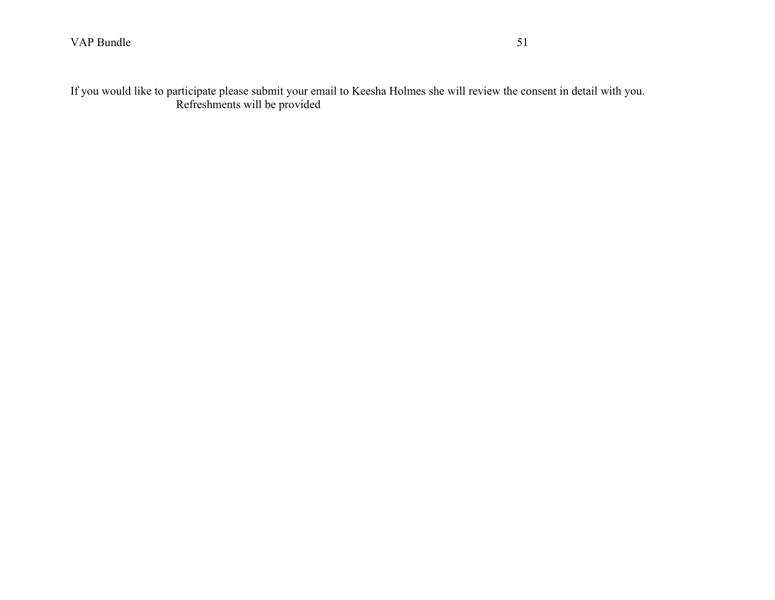If you would like to participate please submit your email to Keesha Holmes she will review the consent in detail with you. Refreshments will be provided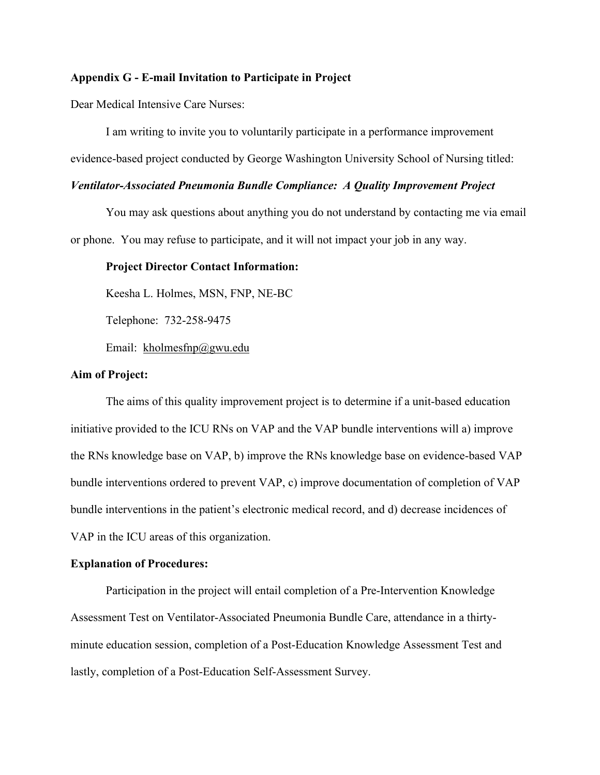#### **Appendix G - E-mail Invitation to Participate in Project**

Dear Medical Intensive Care Nurses:

I am writing to invite you to voluntarily participate in a performance improvement evidence-based project conducted by George Washington University School of Nursing titled:

#### *Ventilator-Associated Pneumonia Bundle Compliance: A Quality Improvement Project*

You may ask questions about anything you do not understand by contacting me via email or phone. You may refuse to participate, and it will not impact your job in any way.

#### **Project Director Contact Information:**

Keesha L. Holmes, MSN, FNP, NE-BC

Telephone: 732-258-9475

Email: [kholmesfnp@gwu.edu](mailto:kholmesfnp@gwu.edu)

#### **Aim of Project:**

The aims of this quality improvement project is to determine if a unit-based education initiative provided to the ICU RNs on VAP and the VAP bundle interventions will a) improve the RNs knowledge base on VAP, b) improve the RNs knowledge base on evidence-based VAP bundle interventions ordered to prevent VAP, c) improve documentation of completion of VAP bundle interventions in the patient's electronic medical record, and d) decrease incidences of VAP in the ICU areas of this organization.

#### **Explanation of Procedures:**

Participation in the project will entail completion of a Pre-Intervention Knowledge Assessment Test on Ventilator-Associated Pneumonia Bundle Care, attendance in a thirtyminute education session, completion of a Post-Education Knowledge Assessment Test and lastly, completion of a Post-Education Self-Assessment Survey.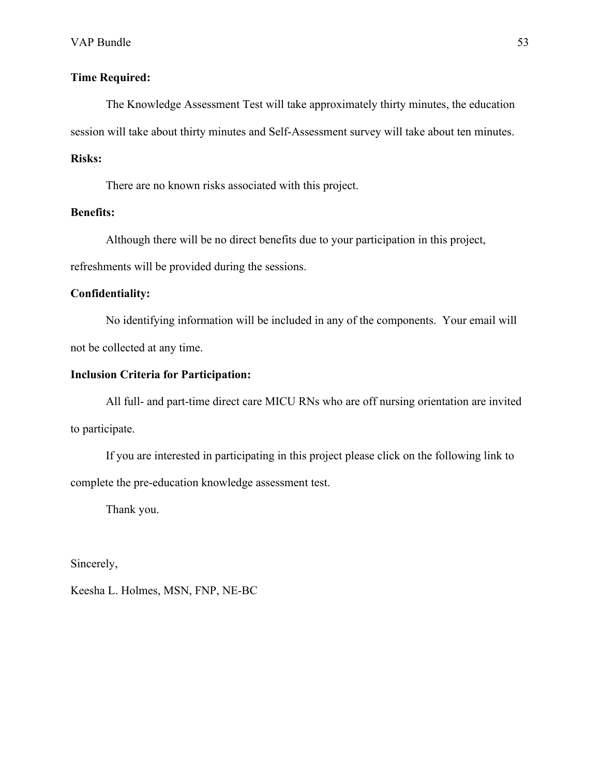### **Time Required:**

The Knowledge Assessment Test will take approximately thirty minutes, the education session will take about thirty minutes and Self-Assessment survey will take about ten minutes.

### **Risks:**

There are no known risks associated with this project.

#### **Benefits:**

Although there will be no direct benefits due to your participation in this project, refreshments will be provided during the sessions.

#### **Confidentiality:**

No identifying information will be included in any of the components. Your email will not be collected at any time.

## **Inclusion Criteria for Participation:**

All full- and part-time direct care MICU RNs who are off nursing orientation are invited to participate.

If you are interested in participating in this project please click on the following link to complete the pre-education knowledge assessment test.

Thank you.

Sincerely,

Keesha L. Holmes, MSN, FNP, NE-BC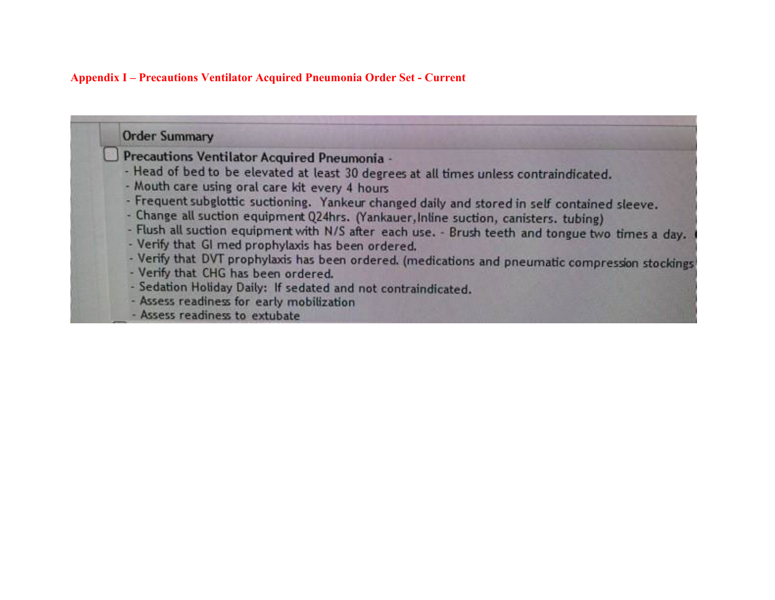### **Appendix I – Precautions Ventilator Acquired Pneumonia Order Set - Current**

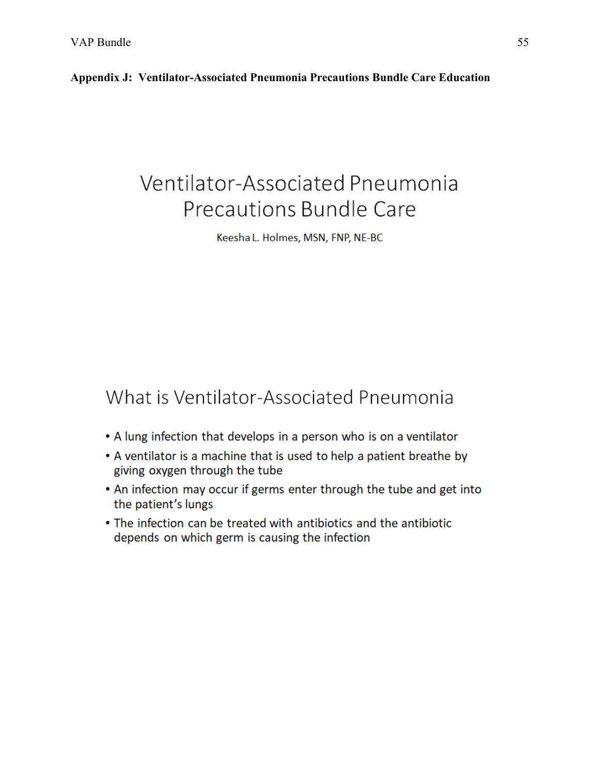**Appendix J: Ventilator-Associated Pneumonia Precautions Bundle Care Education**

# Ventilator-Associated Pneumonia Precautions Bundle Care

Keesha L. Holmes, MSN, FNP, NE-BC

# What is Ventilator-Associated Pneumonia

- A lung infection that develops in a person who is on a ventilator
- A ventilator is a machine that is used to help a patient breathe by giving oxygen through the tube
- An infection may occur if germs enter through the tube and get into the patient's lungs
- The infection can be treated with antibiotics and the antibiotic depends on which germ is causing the infection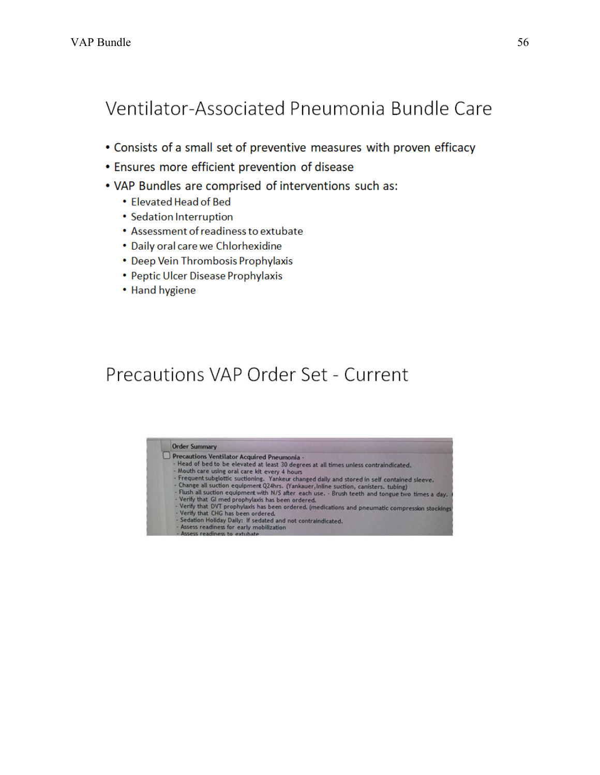# Ventilator-Associated Pneumonia Bundle Care

- Consists of a small set of preventive measures with proven efficacy
- Ensures more efficient prevention of disease
- VAP Bundles are comprised of interventions such as:
	- Elevated Head of Bed
	- Sedation Interruption
	- Assessment of readiness to extubate
	- Daily oral care we Chlorhexidine
	- Deep Vein Thrombosis Prophylaxis
	- Peptic Ulcer Disease Prophylaxis
	- Hand hygiene

# Precautions VAP Order Set - Current

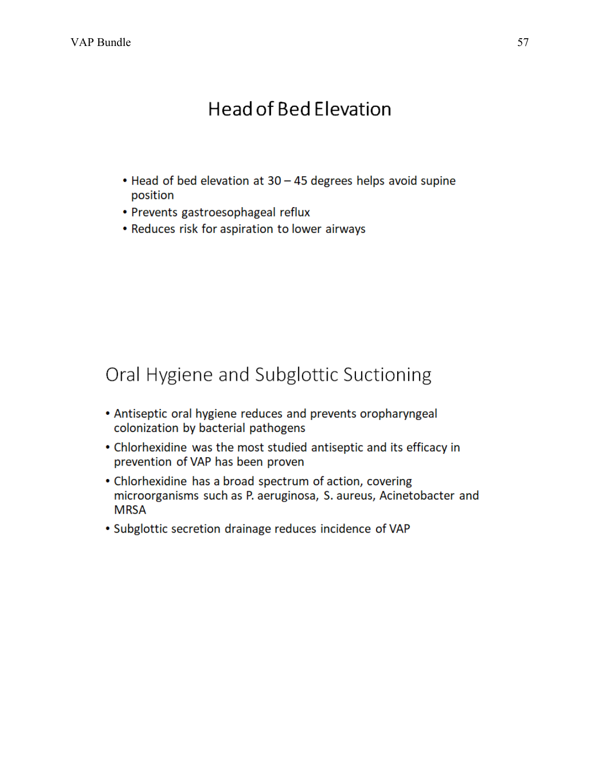# **Head of Bed Elevation**

- Head of bed elevation at 30 45 degrees helps avoid supine position
- Prevents gastroesophageal reflux
- Reduces risk for aspiration to lower airways

# Oral Hygiene and Subglottic Suctioning

- Antiseptic oral hygiene reduces and prevents oropharyngeal colonization by bacterial pathogens
- Chlorhexidine was the most studied antiseptic and its efficacy in prevention of VAP has been proven
- Chlorhexidine has a broad spectrum of action, covering microorganisms such as P. aeruginosa, S. aureus, Acinetobacter and **MRSA**
- Subglottic secretion drainage reduces incidence of VAP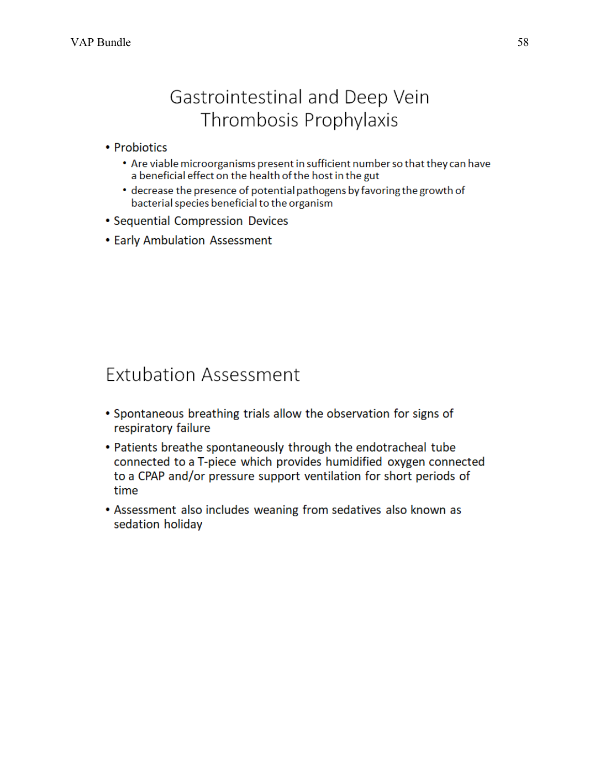# Gastrointestinal and Deep Vein Thrombosis Prophylaxis

## • Probiotics

- Are viable microorganisms present in sufficient number so that they can have a beneficial effect on the health of the host in the gut
- decrease the presence of potential pathogens by favoring the growth of bacterial species beneficial to the organism
- Sequential Compression Devices
- Early Ambulation Assessment

# **Extubation Assessment**

- Spontaneous breathing trials allow the observation for signs of respiratory failure
- Patients breathe spontaneously through the endotracheal tube connected to a T-piece which provides humidified oxygen connected to a CPAP and/or pressure support ventilation for short periods of time
- Assessment also includes weaning from sedatives also known as sedation holiday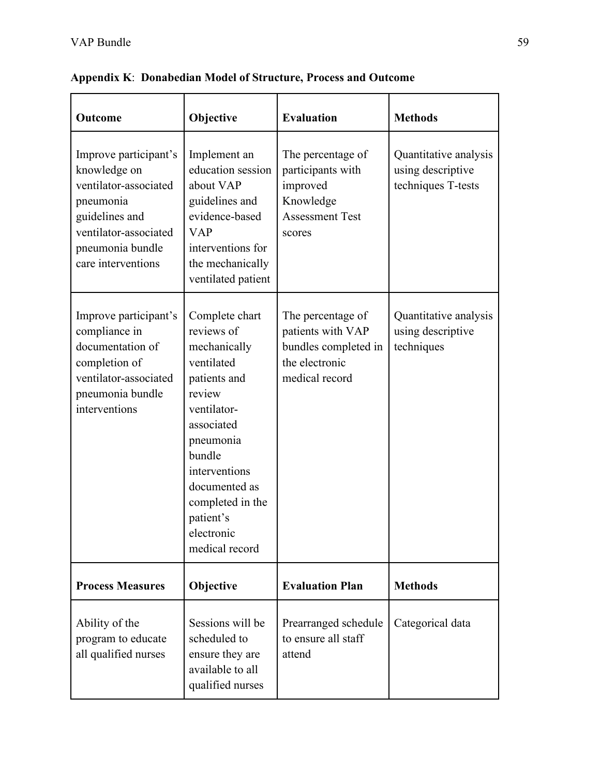| Outcome                                                                                                                                                          | Objective                                                                                                                                                                                                                                   | <b>Evaluation</b>                                                                                   | <b>Methods</b>                                                   |
|------------------------------------------------------------------------------------------------------------------------------------------------------------------|---------------------------------------------------------------------------------------------------------------------------------------------------------------------------------------------------------------------------------------------|-----------------------------------------------------------------------------------------------------|------------------------------------------------------------------|
| Improve participant's<br>knowledge on<br>ventilator-associated<br>pneumonia<br>guidelines and<br>ventilator-associated<br>pneumonia bundle<br>care interventions | Implement an<br>education session<br>about VAP<br>guidelines and<br>evidence-based<br><b>VAP</b><br>interventions for<br>the mechanically<br>ventilated patient                                                                             | The percentage of<br>participants with<br>improved<br>Knowledge<br><b>Assessment Test</b><br>scores | Quantitative analysis<br>using descriptive<br>techniques T-tests |
| Improve participant's<br>compliance in<br>documentation of<br>completion of<br>ventilator-associated<br>pneumonia bundle<br>interventions                        | Complete chart<br>reviews of<br>mechanically<br>ventilated<br>patients and<br>review<br>ventilator-<br>associated<br>pneumonia<br>bundle<br>interventions<br>documented as<br>completed in the<br>patient's<br>electronic<br>medical record |                                                                                                     | Quantitative analysis<br>using descriptive<br>techniques         |
| <b>Process Measures</b>                                                                                                                                          | Objective                                                                                                                                                                                                                                   | <b>Evaluation Plan</b>                                                                              | <b>Methods</b>                                                   |
| Ability of the<br>program to educate<br>all qualified nurses                                                                                                     | Sessions will be<br>scheduled to<br>ensure they are<br>available to all<br>qualified nurses                                                                                                                                                 | Prearranged schedule<br>to ensure all staff<br>attend                                               | Categorical data                                                 |

**Appendix K**: **Donabedian Model of Structure, Process and Outcome**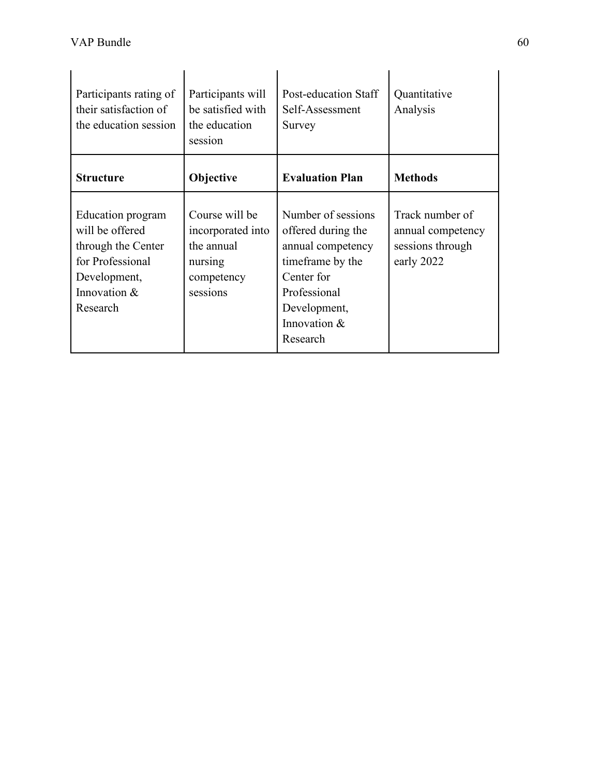| Participants rating of<br>their satisfaction of<br>the education session                                                   | Participants will<br>be satisfied with<br>the education<br>session                     | Post-education Staff<br>Self-Assessment<br>Survey                                                                                                           | Quantitative<br>Analysis                                               |
|----------------------------------------------------------------------------------------------------------------------------|----------------------------------------------------------------------------------------|-------------------------------------------------------------------------------------------------------------------------------------------------------------|------------------------------------------------------------------------|
| <b>Structure</b>                                                                                                           | <b>Objective</b>                                                                       | <b>Evaluation Plan</b>                                                                                                                                      | <b>Methods</b>                                                         |
| Education program<br>will be offered<br>through the Center<br>for Professional<br>Development,<br>Innovation &<br>Research | Course will be<br>incorporated into<br>the annual<br>nursing<br>competency<br>sessions | Number of sessions<br>offered during the<br>annual competency<br>timeframe by the<br>Center for<br>Professional<br>Development,<br>Innovation &<br>Research | Track number of<br>annual competency<br>sessions through<br>early 2022 |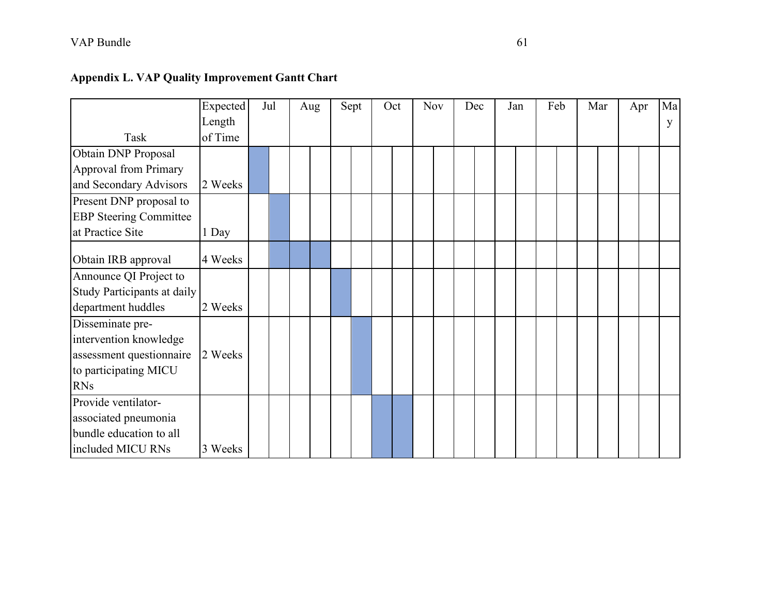|  |  |  |  | <b>Appendix L. VAP Quality Improvement Gantt Chart</b> |  |
|--|--|--|--|--------------------------------------------------------|--|
|--|--|--|--|--------------------------------------------------------|--|

|                               | Expected | Jul | Aug | Sept | Oct | Nov | Dec |  | Jan | Feb |  | Mar | Apr | Ma |
|-------------------------------|----------|-----|-----|------|-----|-----|-----|--|-----|-----|--|-----|-----|----|
|                               | Length   |     |     |      |     |     |     |  |     |     |  |     |     | y  |
| Task                          | of Time  |     |     |      |     |     |     |  |     |     |  |     |     |    |
| Obtain DNP Proposal           |          |     |     |      |     |     |     |  |     |     |  |     |     |    |
| <b>Approval from Primary</b>  |          |     |     |      |     |     |     |  |     |     |  |     |     |    |
| and Secondary Advisors        | 2 Weeks  |     |     |      |     |     |     |  |     |     |  |     |     |    |
| Present DNP proposal to       |          |     |     |      |     |     |     |  |     |     |  |     |     |    |
| <b>EBP</b> Steering Committee |          |     |     |      |     |     |     |  |     |     |  |     |     |    |
| at Practice Site              | 1 Day    |     |     |      |     |     |     |  |     |     |  |     |     |    |
| Obtain IRB approval           | 4 Weeks  |     |     |      |     |     |     |  |     |     |  |     |     |    |
| Announce QI Project to        |          |     |     |      |     |     |     |  |     |     |  |     |     |    |
| Study Participants at daily   |          |     |     |      |     |     |     |  |     |     |  |     |     |    |
| department huddles            | 2 Weeks  |     |     |      |     |     |     |  |     |     |  |     |     |    |
| Disseminate pre-              |          |     |     |      |     |     |     |  |     |     |  |     |     |    |
| intervention knowledge        |          |     |     |      |     |     |     |  |     |     |  |     |     |    |
| assessment questionnaire      | 2 Weeks  |     |     |      |     |     |     |  |     |     |  |     |     |    |
| to participating MICU         |          |     |     |      |     |     |     |  |     |     |  |     |     |    |
| <b>RNs</b>                    |          |     |     |      |     |     |     |  |     |     |  |     |     |    |
| Provide ventilator-           |          |     |     |      |     |     |     |  |     |     |  |     |     |    |
| associated pneumonia          |          |     |     |      |     |     |     |  |     |     |  |     |     |    |
| bundle education to all       |          |     |     |      |     |     |     |  |     |     |  |     |     |    |
| included MICU RNs             | 3 Weeks  |     |     |      |     |     |     |  |     |     |  |     |     |    |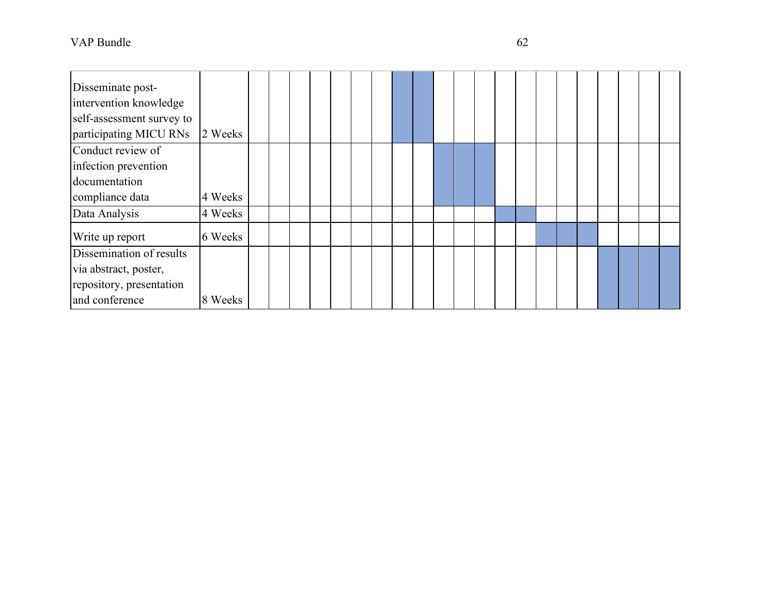| Disseminate post-<br>intervention knowledge<br>self-assessment survey to<br>participating MICU RNs | 2 Weeks |  |  |  |  |  |  |  |  |  |  |  |
|----------------------------------------------------------------------------------------------------|---------|--|--|--|--|--|--|--|--|--|--|--|
| Conduct review of<br>infection prevention<br>documentation<br>compliance data                      | 4 Weeks |  |  |  |  |  |  |  |  |  |  |  |
| Data Analysis                                                                                      | 4 Weeks |  |  |  |  |  |  |  |  |  |  |  |
| Write up report                                                                                    | 6 Weeks |  |  |  |  |  |  |  |  |  |  |  |
| Dissemination of results<br>via abstract, poster,<br>repository, presentation<br>and conference    | 8 Weeks |  |  |  |  |  |  |  |  |  |  |  |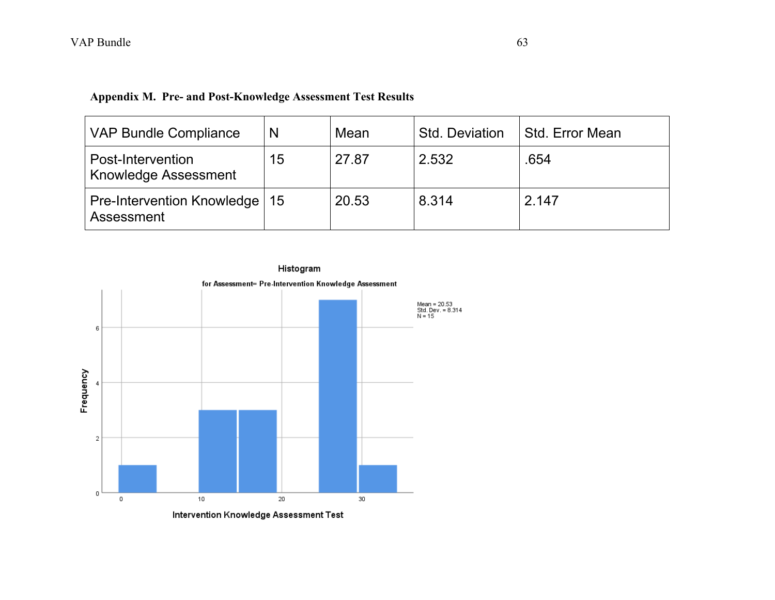| <b>VAP Bundle Compliance</b>                  | N  | Mean  | <b>Std. Deviation</b> | Std. Error Mean |
|-----------------------------------------------|----|-------|-----------------------|-----------------|
| Post-Intervention<br>Knowledge Assessment     | 15 | 27.87 | 2.532                 | .654            |
| Pre-Intervention Knowledge   15<br>Assessment |    | 20.53 | 8.314                 | 2.147           |

## **Appendix M. Pre- and Post-Knowledge Assessment Test Results**

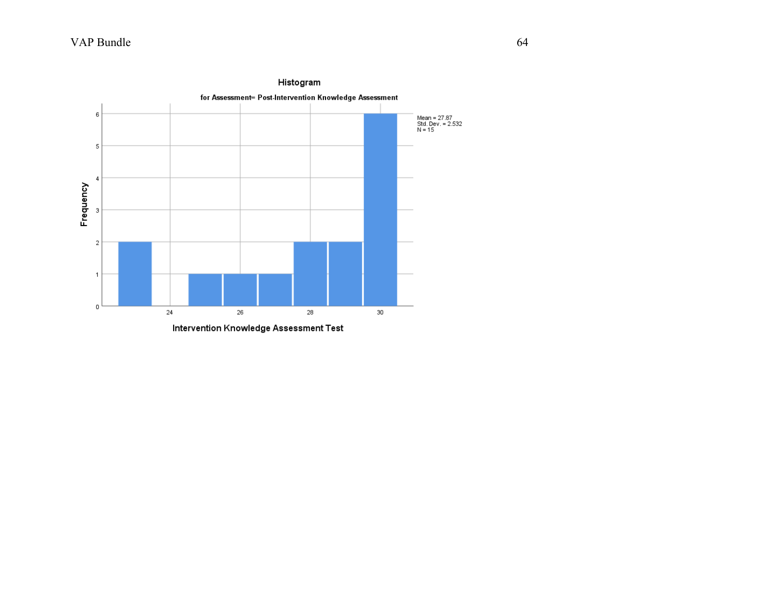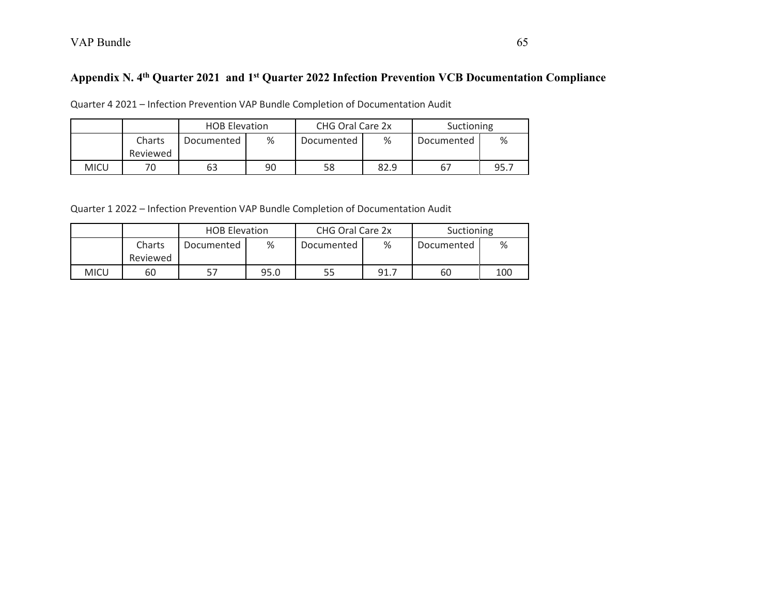# **Appendix N. 4th Quarter 2021 and 1st Quarter 2022 Infection Prevention VCB Documentation Compliance**

Quarter 4 2021 – Infection Prevention VAP Bundle Completion of Documentation Audit

|      |                    | <b>HOB Elevation</b> |    | CHG Oral Care 2x |      | Suctioning |      |
|------|--------------------|----------------------|----|------------------|------|------------|------|
|      | Charts<br>Reviewed | Documented           | %  | Documented       | %    | Documented | %    |
| MICU |                    | 63                   | 90 | 58               | 82.9 | 67         | 95.7 |

Quarter 1 2022 – Infection Prevention VAP Bundle Completion of Documentation Audit

|             |                    | <b>HOB Elevation</b> |      | CHG Oral Care 2x |      | Suctioning |     |
|-------------|--------------------|----------------------|------|------------------|------|------------|-----|
|             | Charts<br>Reviewed | Documented           | %    | Documented       | %    | Documented | %   |
| <b>MICU</b> | 60                 |                      | 95.0 | 55               | 91.7 | 60         | 100 |